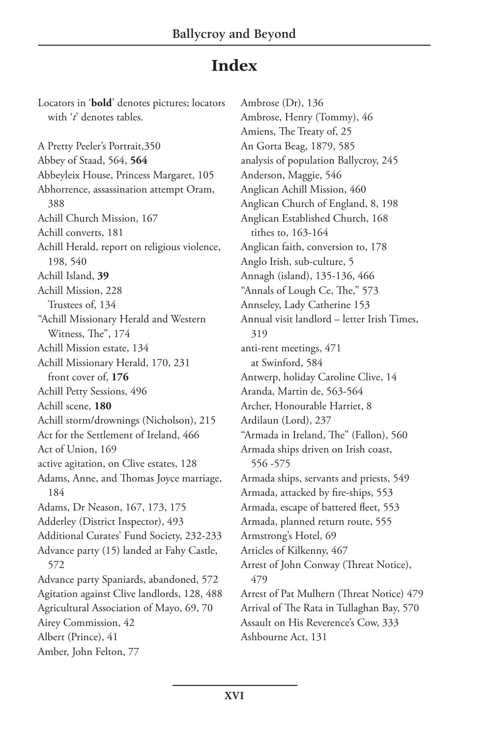## **Index**

Locators in '**bold**' denotes pictures; locators with '*t*' denotes tables.

A Pretty Peeler's Portrait,350 Abbey of Staad, 564, **564** Abbeyleix House, Princess Margaret, 105 Abhorrence, assassination attempt Oram, 388 Achill Church Mission, 167 Achill converts, 181 Achill Herald, report on religious violence, 198, 540 Achill Island, **39** Achill Mission, 228 Trustees of, 134 "Achill Missionary Herald and Western Witness, The", 174 Achill Mission estate, 134 Achill Missionary Herald, 170, 231 front cover of, **176** Achill Petty Sessions, 496 Achill scene, **180** Achill storm/drownings (Nicholson), 215 Act for the Settlement of Ireland, 466 Act of Union, 169 active agitation, on Clive estates, 128 Adams, Anne, and Thomas Joyce marriage, 184 Adams, Dr Neason, 167, 173, 175 Adderley (District Inspector), 493 Additional Curates' Fund Society, 232-233 Advance party (15) landed at Fahy Castle, 572 Advance party Spaniards, abandoned, 572 Agitation against Clive landlords, 128, 488 Agricultural Association of Mayo, 69, 70 Airey Commission, 42 Albert (Prince), 41 Amber, John Felton, 77

Ambrose (Dr), 136 Ambrose, Henry (Tommy), 46 Amiens, The Treaty of, 25 An Gorta Beag, 1879, 585 analysis of population Ballycroy, 245 Anderson, Maggie, 546 Anglican Achill Mission, 460 Anglican Church of England, 8, 198 Anglican Established Church, 168 tithes to, 163-164 Anglican faith, conversion to, 178 Anglo Irish, sub-culture, 5 Annagh (island), 135-136, 466 "Annals of Lough Ce, The," 573 Annseley, Lady Catherine 153 Annual visit landlord – letter Irish Times, 319 anti-rent meetings, 471 at Swinford, 584 Antwerp, holiday Caroline Clive, 14 Aranda, Martin de, 563-564 Archer, Honourable Harriet, 8 Ardilaun (Lord), 237 "Armada in Ireland, The" (Fallon), 560 Armada ships driven on Irish coast, 556 -575 Armada ships, servants and priests, 549 Armada, attacked by fire-ships, 553 Armada, escape of battered fleet, 553 Armada, planned return route, 555 Armstrong's Hotel, 69 Articles of Kilkenny, 467 Arrest of John Conway (Threat Notice), 479 Arrest of Pat Mulhern (Threat Notice) 479 Arrival of The Rata in Tullaghan Bay, 570 Assault on His Reverence's Cow, 333 Ashbourne Act, 131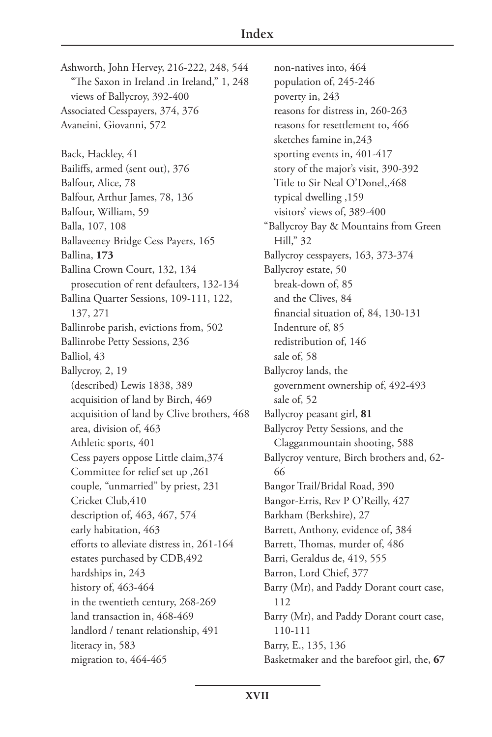Ashworth, John Hervey, 216-222, 248, 544 "The Saxon in Ireland .in Ireland," 1, 248 views of Ballycroy, 392-400 Associated Cesspayers, 374, 376 Avaneini, Giovanni, 572 Back, Hackley, 41 Bailiffs, armed (sent out), 376 Balfour, Alice, 78 Balfour, Arthur James, 78, 136 Balfour, William, 59 Balla, 107, 108 Ballaveeney Bridge Cess Payers, 165 Ballina, **173** Ballina Crown Court, 132, 134 prosecution of rent defaulters, 132-134 Ballina Quarter Sessions, 109-111, 122, 137, 271 Ballinrobe parish, evictions from, 502 Ballinrobe Petty Sessions, 236 Balliol, 43 Ballycroy, 2, 19 (described) Lewis 1838, 389 acquisition of land by Birch, 469 acquisition of land by Clive brothers, 468 area, division of, 463 Athletic sports, 401 Cess payers oppose Little claim,374 Committee for relief set up ,261 couple, "unmarried" by priest, 231 Cricket Club,410 description of, 463, 467, 574 early habitation, 463 efforts to alleviate distress in, 261-164 estates purchased by CDB,492 hardships in, 243 history of, 463-464 in the twentieth century, 268-269 land transaction in, 468-469 landlord / tenant relationship, 491 literacy in, 583 migration to, 464-465

non-natives into, 464 population of, 245-246 poverty in, 243 reasons for distress in, 260-263 reasons for resettlement to, 466 sketches famine in,243 sporting events in, 401-417 story of the major's visit, 390-392 Title to Sir Neal O'Donel,,468 typical dwelling ,159 visitors' views of, 389-400 "Ballycroy Bay & Mountains from Green Hill," 32 Ballycroy cesspayers, 163, 373-374 Ballycroy estate, 50 break-down of, 85 and the Clives, 84 financial situation of, 84, 130-131 Indenture of, 85 redistribution of, 146 sale of, 58 Ballycroy lands, the government ownership of, 492-493 sale of, 52 Ballycroy peasant girl, **81** Ballycroy Petty Sessions, and the Clagganmountain shooting, 588 Ballycroy venture, Birch brothers and, 62- 66 Bangor Trail/Bridal Road, 390 Bangor-Erris, Rev P O'Reilly, 427 Barkham (Berkshire), 27 Barrett, Anthony, evidence of, 384 Barrett, Thomas, murder of, 486 Barri, Geraldus de, 419, 555 Barron, Lord Chief, 377 Barry (Mr), and Paddy Dorant court case, 112 Barry (Mr), and Paddy Dorant court case, 110-111 Barry, E., 135, 136 Basketmaker and the barefoot girl, the, **67**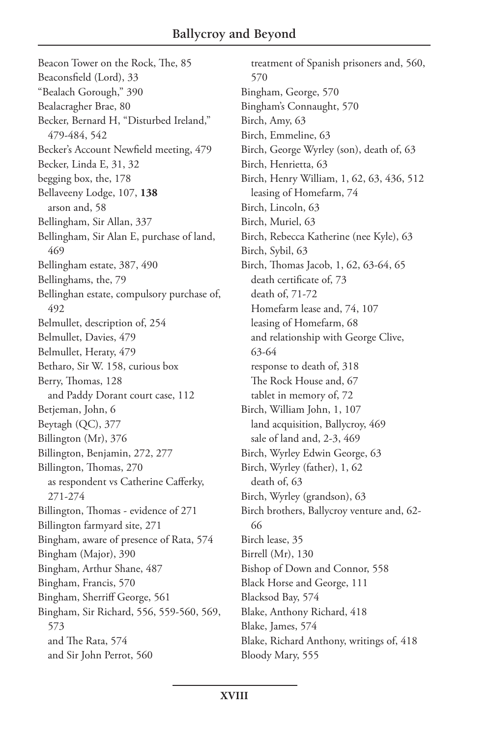Beacon Tower on the Rock, The, 85 Beaconsfield (Lord), 33 "Bealach Gorough," 390 Bealacragher Brae, 80 Becker, Bernard H, "Disturbed Ireland," 479-484, 542 Becker's Account Newfield meeting, 479 Becker, Linda E, 31, 32 begging box, the, 178 Bellaveeny Lodge, 107, **138** arson and, 58 Bellingham, Sir Allan, 337 Bellingham, Sir Alan E, purchase of land, 469 Bellingham estate, 387, 490 Bellinghams, the, 79 Bellinghan estate, compulsory purchase of, 492 Belmullet, description of, 254 Belmullet, Davies, 479 Belmullet, Heraty, 479 Betharo, Sir W. 158, curious box Berry, Thomas, 128 and Paddy Dorant court case, 112 Betjeman, John, 6 Beytagh (QC), 377 Billington (Mr), 376 Billington, Benjamin, 272, 277 Billington, Thomas, 270 as respondent vs Catherine Cafferky, 271-274 Billington, Thomas - evidence of 271 Billington farmyard site, 271 Bingham, aware of presence of Rata, 574 Bingham (Major), 390 Bingham, Arthur Shane, 487 Bingham, Francis, 570 Bingham, Sherriff George, 561 Bingham, Sir Richard, 556, 559-560, 569, 573 and The Rata, 574 and Sir John Perrot, 560

treatment of Spanish prisoners and, 560, 570 Bingham, George, 570 Bingham's Connaught, 570 Birch, Amy, 63 Birch, Emmeline, 63 Birch, George Wyrley (son), death of, 63 Birch, Henrietta, 63 Birch, Henry William, 1, 62, 63, 436, 512 leasing of Homefarm, 74 Birch, Lincoln, 63 Birch, Muriel, 63 Birch, Rebecca Katherine (nee Kyle), 63 Birch, Sybil, 63 Birch, Thomas Jacob, 1, 62, 63-64, 65 death certificate of, 73 death of, 71-72 Homefarm lease and, 74, 107 leasing of Homefarm, 68 and relationship with George Clive, 63-64 response to death of, 318 The Rock House and, 67 tablet in memory of, 72 Birch, William John, 1, 107 land acquisition, Ballycroy, 469 sale of land and, 2-3, 469 Birch, Wyrley Edwin George, 63 Birch, Wyrley (father), 1, 62 death of, 63 Birch, Wyrley (grandson), 63 Birch brothers, Ballycroy venture and, 62- 66 Birch lease, 35 Birrell (Mr), 130 Bishop of Down and Connor, 558 Black Horse and George, 111 Blacksod Bay, 574 Blake, Anthony Richard, 418 Blake, James, 574 Blake, Richard Anthony, writings of, 418 Bloody Mary, 555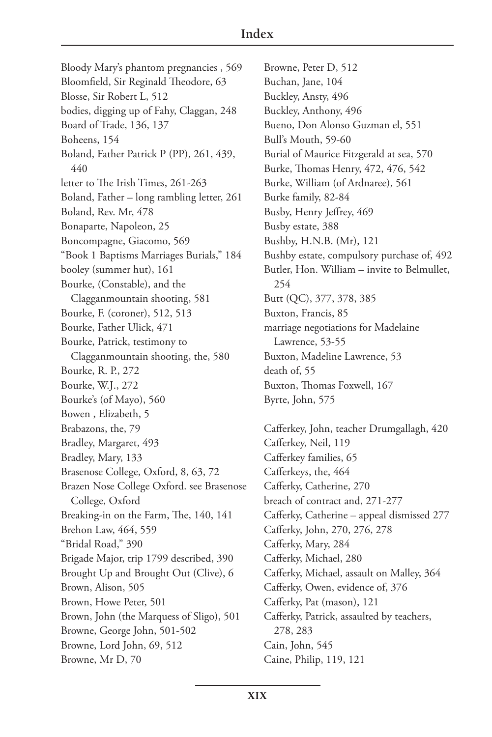Bloody Mary's phantom pregnancies , 569 Bloomfield, Sir Reginald Theodore, 63 Blosse, Sir Robert L, 512 bodies, digging up of Fahy, Claggan, 248 Board of Trade, 136, 137 Boheens, 154 Boland, Father Patrick P (PP), 261, 439, 440 letter to The Irish Times, 261-263 Boland, Father – long rambling letter, 261 Boland, Rev. Mr, 478 Bonaparte, Napoleon, 25 Boncompagne, Giacomo, 569 "Book 1 Baptisms Marriages Burials," 184 booley (summer hut), 161 Bourke, (Constable), and the Clagganmountain shooting, 581 Bourke, F. (coroner), 512, 513 Bourke, Father Ulick, 471 Bourke, Patrick, testimony to Clagganmountain shooting, the, 580 Bourke, R. P., 272 Bourke, W.J., 272 Bourke's (of Mayo), 560 Bowen , Elizabeth, 5 Brabazons, the, 79 Bradley, Margaret, 493 Bradley, Mary, 133 Brasenose College, Oxford, 8, 63, 72 Brazen Nose College Oxford. see Brasenose College, Oxford Breaking-in on the Farm, The, 140, 141 Brehon Law, 464, 559 "Bridal Road," 390 Brigade Major, trip 1799 described, 390 Brought Up and Brought Out (Clive), 6 Brown, Alison, 505 Brown, Howe Peter, 501 Brown, John (the Marquess of Sligo), 501 Browne, George John, 501-502 Browne, Lord John, 69, 512 Browne, Mr D, 70

Browne, Peter D, 512 Buchan, Jane, 104 Buckley, Ansty, 496 Buckley, Anthony, 496 Bueno, Don Alonso Guzman el, 551 Bull's Mouth, 59-60 Burial of Maurice Fitzgerald at sea, 570 Burke, Thomas Henry, 472, 476, 542 Burke, William (of Ardnaree), 561 Burke family, 82-84 Busby, Henry Jeffrey, 469 Busby estate, 388 Bushby, H.N.B. (Mr), 121 Bushby estate, compulsory purchase of, 492 Butler, Hon. William – invite to Belmullet, 254 Butt (QC), 377, 378, 385 Buxton, Francis, 85 marriage negotiations for Madelaine Lawrence, 53-55 Buxton, Madeline Lawrence, 53 death of, 55 Buxton, Thomas Foxwell, 167 Byrte, John, 575 Cafferkey, John, teacher Drumgallagh, 420 Cafferkey, Neil, 119

Cafferkey families, 65 Cafferkeys, the, 464 Cafferky, Catherine, 270 breach of contract and, 271-277 Cafferky, Catherine – appeal dismissed 277 Cafferky, John, 270, 276, 278 Cafferky, Mary, 284 Cafferky, Michael, 280 Cafferky, Michael, assault on Malley, 364 Cafferky, Owen, evidence of, 376 Cafferky, Pat (mason), 121 Cafferky, Patrick, assaulted by teachers, 278, 283 Cain, John, 545 Caine, Philip, 119, 121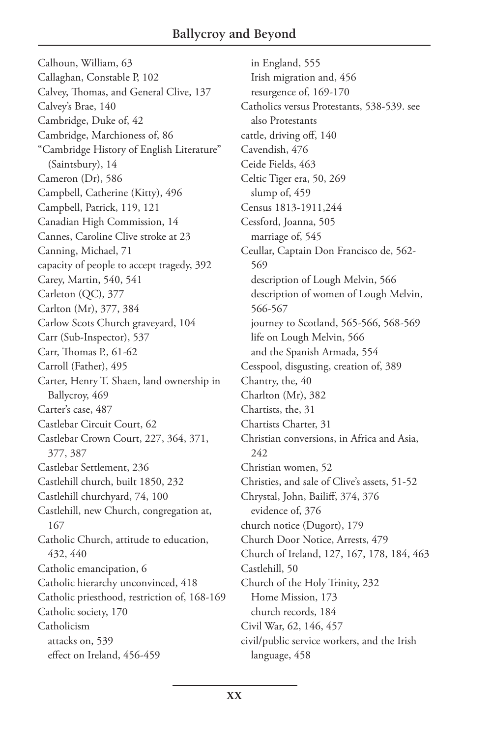Calhoun, William, 63 Callaghan, Constable P, 102 Calvey, Thomas, and General Clive, 137 Calvey's Brae, 140 Cambridge, Duke of, 42 Cambridge, Marchioness of, 86 "Cambridge History of English Literature" (Saintsbury), 14 Cameron (Dr), 586 Campbell, Catherine (Kitty), 496 Campbell, Patrick, 119, 121 Canadian High Commission, 14 Cannes, Caroline Clive stroke at 23 Canning, Michael, 71 capacity of people to accept tragedy, 392 Carey, Martin, 540, 541 Carleton (QC), 377 Carlton (Mr), 377, 384 Carlow Scots Church graveyard, 104 Carr (Sub-Inspector), 537 Carr, Thomas P., 61-62 Carroll (Father), 495 Carter, Henry T. Shaen, land ownership in Ballycroy, 469 Carter's case, 487 Castlebar Circuit Court, 62 Castlebar Crown Court, 227, 364, 371, 377, 387 Castlebar Settlement, 236 Castlehill church, built 1850, 232 Castlehill churchyard, 74, 100 Castlehill, new Church, congregation at, 167 Catholic Church, attitude to education, 432, 440 Catholic emancipation, 6 Catholic hierarchy unconvinced, 418 Catholic priesthood, restriction of, 168-169 Catholic society, 170 Catholicism attacks on, 539 effect on Ireland, 456-459

in England, 555 Irish migration and, 456 resurgence of, 169-170 Catholics versus Protestants, 538-539. see also Protestants cattle, driving off, 140 Cavendish, 476 Ceide Fields, 463 Celtic Tiger era, 50, 269 slump of, 459 Census 1813-1911,244 Cessford, Joanna, 505 marriage of, 545 Ceullar, Captain Don Francisco de, 562- 569 description of Lough Melvin, 566 description of women of Lough Melvin, 566-567 journey to Scotland, 565-566, 568-569 life on Lough Melvin, 566 and the Spanish Armada, 554 Cesspool, disgusting, creation of, 389 Chantry, the, 40 Charlton (Mr), 382 Chartists, the, 31 Chartists Charter, 31 Christian conversions, in Africa and Asia, 242 Christian women, 52 Christies, and sale of Clive's assets, 51-52 Chrystal, John, Bailiff, 374, 376 evidence of, 376 church notice (Dugort), 179 Church Door Notice, Arrests, 479 Church of Ireland, 127, 167, 178, 184, 463 Castlehill, 50 Church of the Holy Trinity, 232 Home Mission, 173 church records, 184 Civil War, 62, 146, 457 civil/public service workers, and the Irish language, 458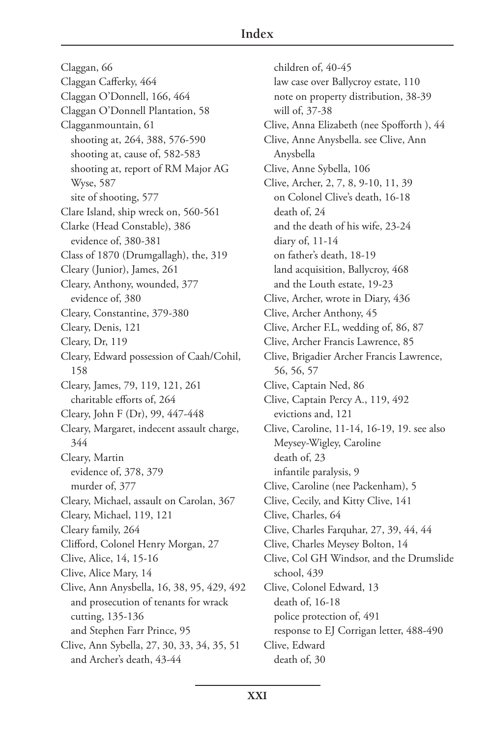Claggan, 66 Claggan Cafferky, 464 Claggan O'Donnell, 166, 464 Claggan O'Donnell Plantation, 58 Clagganmountain, 61 shooting at, 264, 388, 576-590 shooting at, cause of, 582-583 shooting at, report of RM Major AG Wyse, 587 site of shooting, 577 Clare Island, ship wreck on, 560-561 Clarke (Head Constable), 386 evidence of, 380-381 Class of 1870 (Drumgallagh), the, 319 Cleary (Junior), James, 261 Cleary, Anthony, wounded, 377 evidence of, 380 Cleary, Constantine, 379-380 Cleary, Denis, 121 Cleary, Dr, 119 Cleary, Edward possession of Caah/Cohil, 158 Cleary, James, 79, 119, 121, 261 charitable efforts of, 264 Cleary, John F (Dr), 99, 447-448 Cleary, Margaret, indecent assault charge, 344 Cleary, Martin evidence of, 378, 379 murder of, 377 Cleary, Michael, assault on Carolan, 367 Cleary, Michael, 119, 121 Cleary family, 264 Clifford, Colonel Henry Morgan, 27 Clive, Alice, 14, 15-16 Clive, Alice Mary, 14 Clive, Ann Anysbella, 16, 38, 95, 429, 492 and prosecution of tenants for wrack cutting, 135-136 and Stephen Farr Prince, 95 Clive, Ann Sybella, 27, 30, 33, 34, 35, 51 and Archer's death, 43-44

children of, 40-45 law case over Ballycroy estate, 110 note on property distribution, 38-39 will of, 37-38 Clive, Anna Elizabeth (nee Spofforth ), 44 Clive, Anne Anysbella. see Clive, Ann Anysbella Clive, Anne Sybella, 106 Clive, Archer, 2, 7, 8, 9-10, 11, 39 on Colonel Clive's death, 16-18 death of, 24 and the death of his wife, 23-24 diary of, 11-14 on father's death, 18-19 land acquisition, Ballycroy, 468 and the Louth estate, 19-23 Clive, Archer, wrote in Diary, 436 Clive, Archer Anthony, 45 Clive, Archer F.L, wedding of, 86, 87 Clive, Archer Francis Lawrence, 85 Clive, Brigadier Archer Francis Lawrence, 56, 56, 57 Clive, Captain Ned, 86 Clive, Captain Percy A., 119, 492 evictions and, 121 Clive, Caroline, 11-14, 16-19, 19. see also Meysey-Wigley, Caroline death of, 23 infantile paralysis, 9 Clive, Caroline (nee Packenham), 5 Clive, Cecily, and Kitty Clive, 141 Clive, Charles, 64 Clive, Charles Farquhar, 27, 39, 44, 44 Clive, Charles Meysey Bolton, 14 Clive, Col GH Windsor, and the Drumslide school, 439 Clive, Colonel Edward, 13 death of, 16-18 police protection of, 491 response to EJ Corrigan letter, 488-490 Clive, Edward death of, 30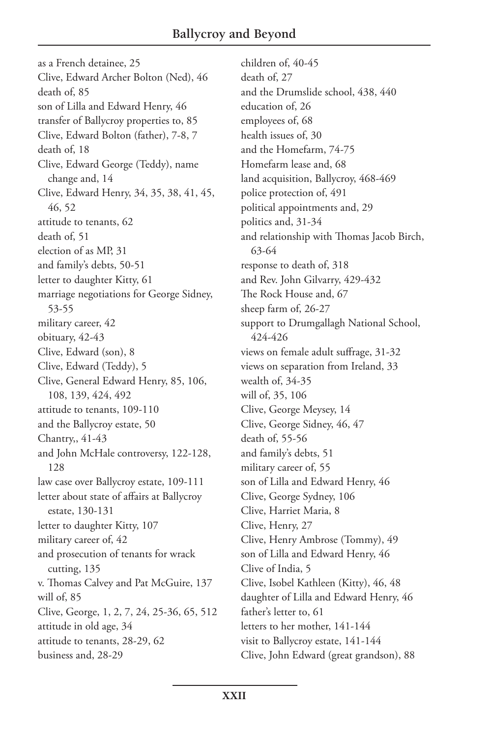as a French detainee, 25 Clive, Edward Archer Bolton (Ned), 46 death of, 85 son of Lilla and Edward Henry, 46 transfer of Ballycroy properties to, 85 Clive, Edward Bolton (father), 7-8, 7 death of, 18 Clive, Edward George (Teddy), name change and, 14 Clive, Edward Henry, 34, 35, 38, 41, 45, 46, 52 attitude to tenants, 62 death of, 51 election of as MP, 31 and family's debts, 50-51 letter to daughter Kitty, 61 marriage negotiations for George Sidney, 53-55 military career, 42 obituary, 42-43 Clive, Edward (son), 8 Clive, Edward (Teddy), 5 Clive, General Edward Henry, 85, 106, 108, 139, 424, 492 attitude to tenants, 109-110 and the Ballycroy estate, 50 Chantry,, 41-43 and John McHale controversy, 122-128, 128 law case over Ballycroy estate, 109-111 letter about state of affairs at Ballycroy estate, 130-131 letter to daughter Kitty, 107 military career of, 42 and prosecution of tenants for wrack cutting, 135 v. Thomas Calvey and Pat McGuire, 137 will of, 85 Clive, George, 1, 2, 7, 24, 25-36, 65, 512 attitude in old age, 34 attitude to tenants, 28-29, 62 business and, 28-29

children of, 40-45 death of, 27 and the Drumslide school, 438, 440 education of, 26 employees of, 68 health issues of, 30 and the Homefarm, 74-75 Homefarm lease and, 68 land acquisition, Ballycroy, 468-469 police protection of, 491 political appointments and, 29 politics and, 31-34 and relationship with Thomas Jacob Birch, 63-64 response to death of, 318 and Rev. John Gilvarry, 429-432 The Rock House and, 67 sheep farm of, 26-27 support to Drumgallagh National School, 424-426 views on female adult suffrage, 31-32 views on separation from Ireland, 33 wealth of, 34-35 will of, 35, 106 Clive, George Meysey, 14 Clive, George Sidney, 46, 47 death of, 55-56 and family's debts, 51 military career of, 55 son of Lilla and Edward Henry, 46 Clive, George Sydney, 106 Clive, Harriet Maria, 8 Clive, Henry, 27 Clive, Henry Ambrose (Tommy), 49 son of Lilla and Edward Henry, 46 Clive of India, 5 Clive, Isobel Kathleen (Kitty), 46, 48 daughter of Lilla and Edward Henry, 46 father's letter to, 61 letters to her mother, 141-144 visit to Ballycroy estate, 141-144 Clive, John Edward (great grandson), 88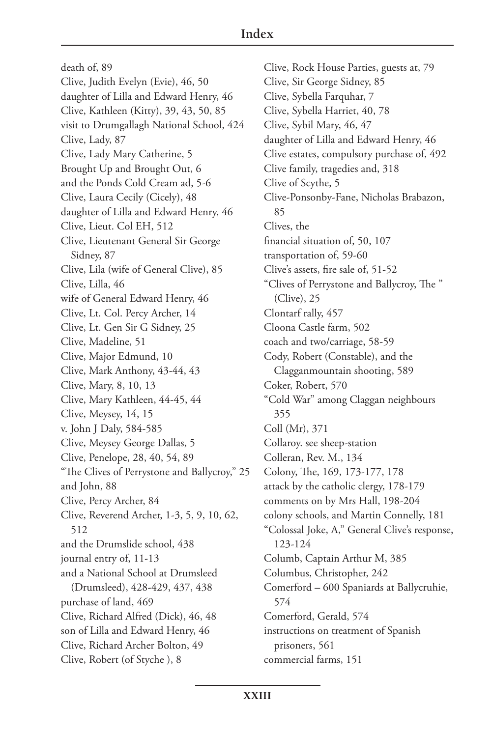death of, 89 Clive, Judith Evelyn (Evie), 46, 50 daughter of Lilla and Edward Henry, 46 Clive, Kathleen (Kitty), 39, 43, 50, 85 visit to Drumgallagh National School, 424 Clive, Lady, 87 Clive, Lady Mary Catherine, 5 Brought Up and Brought Out, 6 and the Ponds Cold Cream ad, 5-6 Clive, Laura Cecily (Cicely), 48 daughter of Lilla and Edward Henry, 46 Clive, Lieut. Col EH, 512 Clive, Lieutenant General Sir George Sidney, 87 Clive, Lila (wife of General Clive), 85 Clive, Lilla, 46 wife of General Edward Henry, 46 Clive, Lt. Col. Percy Archer, 14 Clive, Lt. Gen Sir G Sidney, 25 Clive, Madeline, 51 Clive, Major Edmund, 10 Clive, Mark Anthony, 43-44, 43 Clive, Mary, 8, 10, 13 Clive, Mary Kathleen, 44-45, 44 Clive, Meysey, 14, 15 v. John J Daly, 584-585 Clive, Meysey George Dallas, 5 Clive, Penelope, 28, 40, 54, 89 "The Clives of Perrystone and Ballycroy," 25 and John, 88 Clive, Percy Archer, 84 Clive, Reverend Archer, 1-3, 5, 9, 10, 62, 512 and the Drumslide school, 438 journal entry of, 11-13 and a National School at Drumsleed (Drumsleed), 428-429, 437, 438 purchase of land, 469 Clive, Richard Alfred (Dick), 46, 48 son of Lilla and Edward Henry, 46 Clive, Richard Archer Bolton, 49 Clive, Robert (of Styche ), 8

Clive, Rock House Parties, guests at, 79 Clive, Sir George Sidney, 85 Clive, Sybella Farquhar, 7 Clive, Sybella Harriet, 40, 78 Clive, Sybil Mary, 46, 47 daughter of Lilla and Edward Henry, 46 Clive estates, compulsory purchase of, 492 Clive family, tragedies and, 318 Clive of Scythe, 5 Clive-Ponsonby-Fane, Nicholas Brabazon, 85 Clives, the financial situation of, 50, 107 transportation of, 59-60 Clive's assets, fire sale of, 51-52 "Clives of Perrystone and Ballycroy, The " (Clive), 25 Clontarf rally, 457 Cloona Castle farm, 502 coach and two/carriage, 58-59 Cody, Robert (Constable), and the Clagganmountain shooting, 589 Coker, Robert, 570 "Cold War" among Claggan neighbours 355 Coll (Mr), 371 Collaroy. see sheep-station Colleran, Rev. M., 134 Colony, The, 169, 173-177, 178 attack by the catholic clergy, 178-179 comments on by Mrs Hall, 198-204 colony schools, and Martin Connelly, 181 "Colossal Joke, A," General Clive's response, 123-124 Columb, Captain Arthur M, 385 Columbus, Christopher, 242 Comerford – 600 Spaniards at Ballycruhie, 574 Comerford, Gerald, 574 instructions on treatment of Spanish prisoners, 561 commercial farms, 151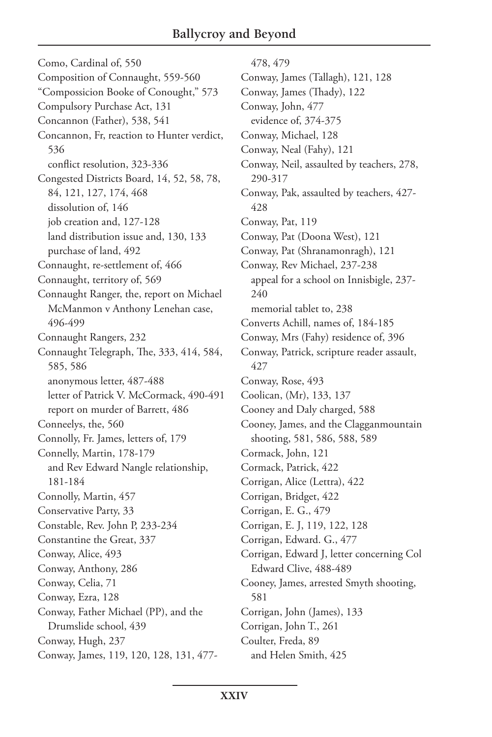Como, Cardinal of, 550 Composition of Connaught, 559-560 "Compossicion Booke of Conought," 573 Compulsory Purchase Act, 131 Concannon (Father), 538, 541 Concannon, Fr, reaction to Hunter verdict, 536 conflict resolution, 323-336 Congested Districts Board, 14, 52, 58, 78, 84, 121, 127, 174, 468 dissolution of, 146 job creation and, 127-128 land distribution issue and, 130, 133 purchase of land, 492 Connaught, re-settlement of, 466 Connaught, territory of, 569 Connaught Ranger, the, report on Michael McManmon v Anthony Lenehan case, 496-499 Connaught Rangers, 232 Connaught Telegraph, The, 333, 414, 584, 585, 586 anonymous letter, 487-488 letter of Patrick V. McCormack, 490-491 report on murder of Barrett, 486 Conneelys, the, 560 Connolly, Fr. James, letters of, 179 Connelly, Martin, 178-179 and Rev Edward Nangle relationship, 181-184 Connolly, Martin, 457 Conservative Party, 33 Constable, Rev. John P, 233-234 Constantine the Great, 337 Conway, Alice, 493 Conway, Anthony, 286 Conway, Celia, 71 Conway, Ezra, 128 Conway, Father Michael (PP), and the Drumslide school, 439 Conway, Hugh, 237 Conway, James, 119, 120, 128, 131, 477-

478, 479 Conway, James (Tallagh), 121, 128 Conway, James (Thady), 122 Conway, John, 477 evidence of, 374-375 Conway, Michael, 128 Conway, Neal (Fahy), 121 Conway, Neil, assaulted by teachers, 278, 290-317 Conway, Pak, assaulted by teachers, 427- 428 Conway, Pat, 119 Conway, Pat (Doona West), 121 Conway, Pat (Shranamonragh), 121 Conway, Rev Michael, 237-238 appeal for a school on Innisbigle, 237- 240 memorial tablet to, 238 Converts Achill, names of, 184-185 Conway, Mrs (Fahy) residence of, 396 Conway, Patrick, scripture reader assault, 427 Conway, Rose, 493 Coolican, (Mr), 133, 137 Cooney and Daly charged, 588 Cooney, James, and the Clagganmountain shooting, 581, 586, 588, 589 Cormack, John, 121 Cormack, Patrick, 422 Corrigan, Alice (Lettra), 422 Corrigan, Bridget, 422 Corrigan, E. G., 479 Corrigan, E. J, 119, 122, 128 Corrigan, Edward. G., 477 Corrigan, Edward J, letter concerning Col Edward Clive, 488-489 Cooney, James, arrested Smyth shooting, 581 Corrigan, John (James), 133 Corrigan, John T., 261 Coulter, Freda, 89 and Helen Smith, 425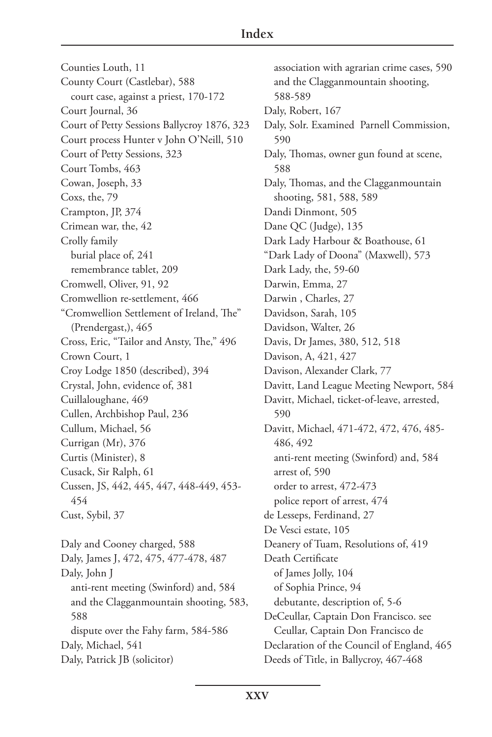Counties Louth, 11 County Court (Castlebar), 588 court case, against a priest, 170-172 Court Journal, 36 Court of Petty Sessions Ballycroy 1876, 323 Court process Hunter v John O'Neill, 510 Court of Petty Sessions, 323 Court Tombs, 463 Cowan, Joseph, 33 Coxs, the, 79 Crampton, JP, 374 Crimean war, the, 42 Crolly family burial place of, 241 remembrance tablet, 209 Cromwell, Oliver, 91, 92 Cromwellion re-settlement, 466 "Cromwellion Settlement of Ireland, The" (Prendergast,), 465 Cross, Eric, "Tailor and Ansty, The," 496 Crown Court, 1 Croy Lodge 1850 (described), 394 Crystal, John, evidence of, 381 Cuillaloughane, 469 Cullen, Archbishop Paul, 236 Cullum, Michael, 56 Currigan (Mr), 376 Curtis (Minister), 8 Cusack, Sir Ralph, 61 Cussen, JS, 442, 445, 447, 448-449, 453- 454 Cust, Sybil, 37 Daly and Cooney charged, 588 Daly, James J, 472, 475, 477-478, 487 Daly, John J anti-rent meeting (Swinford) and, 584 and the Clagganmountain shooting, 583, 588 dispute over the Fahy farm, 584-586 Daly, Michael, 541

Daly, Patrick JB (solicitor)

association with agrarian crime cases, 590 and the Clagganmountain shooting, 588-589 Daly, Robert, 167 Daly, Solr. Examined Parnell Commission, 590 Daly, Thomas, owner gun found at scene, 588 Daly, Thomas, and the Clagganmountain shooting, 581, 588, 589 Dandi Dinmont, 505 Dane QC (Judge), 135 Dark Lady Harbour & Boathouse, 61 "Dark Lady of Doona" (Maxwell), 573 Dark Lady, the, 59-60 Darwin, Emma, 27 Darwin , Charles, 27 Davidson, Sarah, 105 Davidson, Walter, 26 Davis, Dr James, 380, 512, 518 Davison, A, 421, 427 Davison, Alexander Clark, 77 Davitt, Land League Meeting Newport, 584 Davitt, Michael, ticket-of-leave, arrested, 590 Davitt, Michael, 471-472, 472, 476, 485- 486, 492 anti-rent meeting (Swinford) and, 584 arrest of, 590 order to arrest, 472-473 police report of arrest, 474 de Lesseps, Ferdinand, 27 De Vesci estate, 105 Deanery of Tuam, Resolutions of, 419 Death Certificate of James Jolly, 104 of Sophia Prince, 94 debutante, description of, 5-6 DeCeullar, Captain Don Francisco. see Ceullar, Captain Don Francisco de Declaration of the Council of England, 465 Deeds of Title, in Ballycroy, 467-468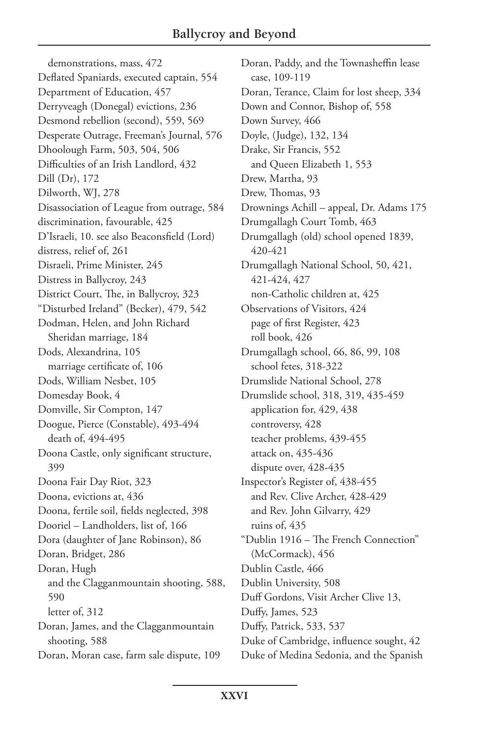demonstrations, mass, 472 Deflated Spaniards, executed captain, 554 Department of Education, 457 Derryveagh (Donegal) evictions, 236 Desmond rebellion (second), 559, 569 Desperate Outrage, Freeman's Journal, 576 Dhoolough Farm, 503, 504, 506 Difficulties of an Irish Landlord, 432 Dill (Dr), 172 Dilworth, WJ, 278 Disassociation of League from outrage, 584 discrimination, favourable, 425 D'Israeli, 10. see also Beaconsfield (Lord) distress, relief of, 261 Disraeli, Prime Minister, 245 Distress in Ballycroy, 243 District Court, The, in Ballycroy, 323 "Disturbed Ireland" (Becker), 479, 542 Dodman, Helen, and John Richard Sheridan marriage, 184 Dods, Alexandrina, 105 marriage certificate of, 106 Dods, William Nesbet, 105 Domesday Book, 4 Domville, Sir Compton, 147 Doogue, Pierce (Constable), 493-494 death of, 494-495 Doona Castle, only significant structure, 399 Doona Fair Day Riot, 323 Doona, evictions at, 436 Doona, fertile soil, fields neglected, 398 Dooriel – Landholders, list of, 166 Dora (daughter of Jane Robinson), 86 Doran, Bridget, 286 Doran, Hugh and the Clagganmountain shooting, 588, 590 letter of, 312 Doran, James, and the Clagganmountain shooting, 588 Doran, Moran case, farm sale dispute, 109

Doran, Paddy, and the Townasheffin lease case, 109-119 Doran, Terance, Claim for lost sheep, 334 Down and Connor, Bishop of, 558 Down Survey, 466 Doyle, (Judge), 132, 134 Drake, Sir Francis, 552 and Queen Elizabeth 1, 553 Drew, Martha, 93 Drew, Thomas, 93 Drownings Achill – appeal, Dr. Adams 175 Drumgallagh Court Tomb, 463 Drumgallagh (old) school opened 1839, 420-421 Drumgallagh National School, 50, 421, 421-424, 427 non-Catholic children at, 425 Observations of Visitors, 424 page of first Register, 423 roll book, 426 Drumgallagh school, 66, 86, 99, 108 school fetes, 318-322 Drumslide National School, 278 Drumslide school, 318, 319, 435-459 application for, 429, 438 controversy, 428 teacher problems, 439-455 attack on, 435-436 dispute over, 428-435 Inspector's Register of, 438-455 and Rev. Clive Archer, 428-429 and Rev. John Gilvarry, 429 ruins of, 435 "Dublin 1916 – The French Connection" (McCormack), 456 Dublin Castle, 466 Dublin University, 508 Duff Gordons, Visit Archer Clive 13, Duffy, James, 523 Duffy, Patrick, 533, 537 Duke of Cambridge, influence sought, 42 Duke of Medina Sedonia, and the Spanish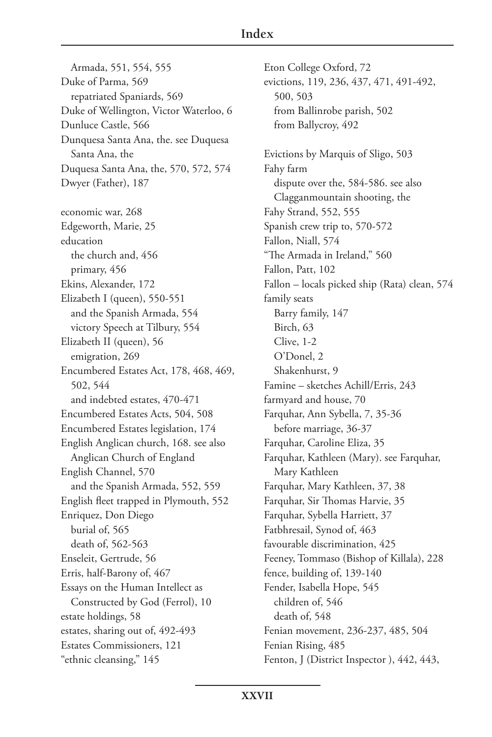Armada, 551, 554, 555 Duke of Parma, 569 repatriated Spaniards, 569 Duke of Wellington, Victor Waterloo, 6 Dunluce Castle, 566 Dunquesa Santa Ana, the. see Duquesa Santa Ana, the Duquesa Santa Ana, the, 570, 572, 574 Dwyer (Father), 187 economic war, 268 Edgeworth, Marie, 25 education the church and, 456 primary, 456 Ekins, Alexander, 172 Elizabeth I (queen), 550-551 and the Spanish Armada, 554 victory Speech at Tilbury, 554 Elizabeth II (queen), 56 emigration, 269 Encumbered Estates Act, 178, 468, 469, 502, 544 and indebted estates, 470-471 Encumbered Estates Acts, 504, 508 Encumbered Estates legislation, 174 English Anglican church, 168. see also Anglican Church of England English Channel, 570 and the Spanish Armada, 552, 559 English fleet trapped in Plymouth, 552 Enriquez, Don Diego burial of, 565 death of, 562-563 Enseleit, Gertrude, 56 Erris, half-Barony of, 467 Essays on the Human Intellect as Constructed by God (Ferrol), 10 estate holdings, 58 estates, sharing out of, 492-493 Estates Commissioners, 121 "ethnic cleansing," 145

Eton College Oxford, 72 evictions, 119, 236, 437, 471, 491-492, 500, 503 from Ballinrobe parish, 502 from Ballycroy, 492 Evictions by Marquis of Sligo, 503 Fahy farm dispute over the, 584-586. see also Clagganmountain shooting, the Fahy Strand, 552, 555 Spanish crew trip to, 570-572 Fallon, Niall, 574 "The Armada in Ireland," 560 Fallon, Patt, 102 Fallon – locals picked ship (Rata) clean, 574 family seats Barry family, 147 Birch, 63 Clive, 1-2 O'Donel, 2 Shakenhurst, 9 Famine – sketches Achill/Erris, 243 farmyard and house, 70 Farquhar, Ann Sybella, 7, 35-36 before marriage, 36-37 Farquhar, Caroline Eliza, 35 Farquhar, Kathleen (Mary). see Farquhar, Mary Kathleen Farquhar, Mary Kathleen, 37, 38 Farquhar, Sir Thomas Harvie, 35 Farquhar, Sybella Harriett, 37 Fatbhresail, Synod of, 463 favourable discrimination, 425 Feeney, Tommaso (Bishop of Killala), 228 fence, building of, 139-140 Fender, Isabella Hope, 545 children of, 546 death of, 548 Fenian movement, 236-237, 485, 504 Fenian Rising, 485 Fenton, J (District Inspector), 442, 443,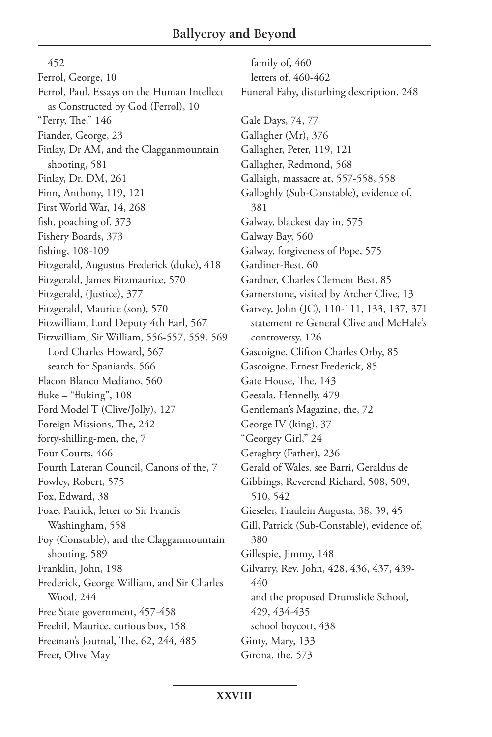452 Ferrol, George, 10 Ferrol, Paul, Essays on the Human Intellect as Constructed by God (Ferrol), 10 "Ferry, The," 146 Fiander, George, 23 Finlay, Dr AM, and the Clagganmountain shooting, 581 Finlay, Dr. DM, 261 Finn, Anthony, 119, 121 First World War, 14, 268 fish, poaching of, 373 Fishery Boards, 373 fishing, 108-109 Fitzgerald, Augustus Frederick (duke), 418 Fitzgerald, James Fitzmaurice, 570 Fitzgerald, (Justice), 377 Fitzgerald, Maurice (son), 570 Fitzwilliam, Lord Deputy 4th Earl, 567 Fitzwilliam, Sir William, 556-557, 559, 569 Lord Charles Howard, 567 search for Spaniards, 566 Flacon Blanco Mediano, 560 fluke – "fluking", 108 Ford Model T (Clive/Jolly), 127 Foreign Missions, The, 242 forty-shilling-men, the, 7 Four Courts, 466 Fourth Lateran Council, Canons of the, 7 Fowley, Robert, 575 Fox, Edward, 38 Foxe, Patrick, letter to Sir Francis Washingham, 558 Foy (Constable), and the Clagganmountain shooting, 589 Franklin, John, 198 Frederick, George William, and Sir Charles Wood, 244 Free State government, 457-458 Freehil, Maurice, curious box, 158 Freeman's Journal, The, 62, 244, 485 Freer, Olive May

family of, 460 letters of, 460-462 Funeral Fahy, disturbing description, 248 Gale Days, 74, 77 Gallagher (Mr), 376 Gallagher, Peter, 119, 121 Gallagher, Redmond, 568 Gallaigh, massacre at, 557-558, 558 Galloghly (Sub-Constable), evidence of, 381 Galway, blackest day in, 575 Galway Bay, 560 Galway, forgiveness of Pope, 575 Gardiner-Best, 60 Gardner, Charles Clement Best, 85 Garnerstone, visited by Archer Clive, 13 Garvey, John (JC), 110-111, 133, 137, 371 statement re General Clive and McHale's controversy, 126 Gascoigne, Clifton Charles Orby, 85 Gascoigne, Ernest Frederick, 85 Gate House, The, 143 Geesala, Hennelly, 479 Gentleman's Magazine, the, 72 George IV (king), 37 "Georgey Girl," 24 Geraghty (Father), 236 Gerald of Wales. see Barri, Geraldus de Gibbings, Reverend Richard, 508, 509, 510, 542 Gieseler, Fraulein Augusta, 38, 39, 45 Gill, Patrick (Sub-Constable), evidence of, 380 Gillespie, Jimmy, 148 Gilvarry, Rev. John, 428, 436, 437, 439- 440 and the proposed Drumslide School, 429, 434-435 school boycott, 438 Ginty, Mary, 133 Girona, the, 573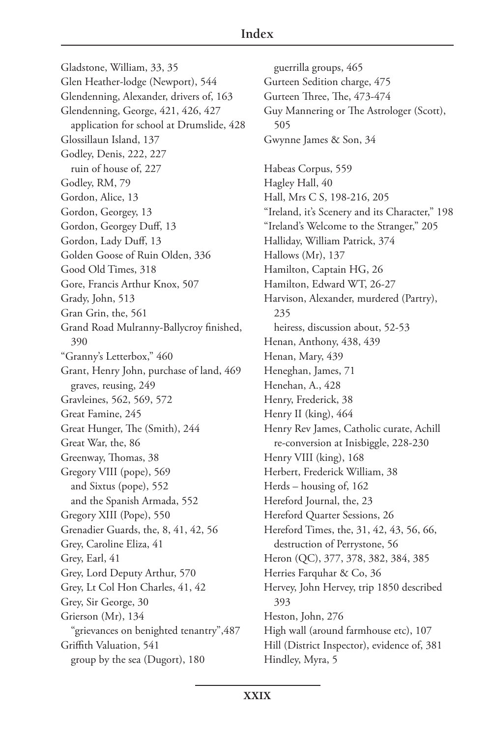## **Index**

Gladstone, William, 33, 35 Glen Heather-lodge (Newport), 544 Glendenning, Alexander, drivers of, 163 Glendenning, George, 421, 426, 427 application for school at Drumslide, 428 Glossillaun Island, 137 Godley, Denis, 222, 227 ruin of house of, 227 Godley, RM, 79 Gordon, Alice, 13 Gordon, Georgey, 13 Gordon, Georgey Duff, 13 Gordon, Lady Duff, 13 Golden Goose of Ruin Olden, 336 Good Old Times, 318 Gore, Francis Arthur Knox, 507 Grady, John, 513 Gran Grin, the, 561 Grand Road Mulranny-Ballycroy finished, 390 "Granny's Letterbox," 460 Grant, Henry John, purchase of land, 469 graves, reusing, 249 Gravleines, 562, 569, 572 Great Famine, 245 Great Hunger, The (Smith), 244 Great War, the, 86 Greenway, Thomas, 38 Gregory VIII (pope), 569 and Sixtus (pope), 552 and the Spanish Armada, 552 Gregory XIII (Pope), 550 Grenadier Guards, the, 8, 41, 42, 56 Grey, Caroline Eliza, 41 Grey, Earl, 41 Grey, Lord Deputy Arthur, 570 Grey, Lt Col Hon Charles, 41, 42 Grey, Sir George, 30 Grierson (Mr), 134 "grievances on benighted tenantry",487 Griffith Valuation, 541 group by the sea (Dugort), 180

guerrilla groups, 465 Gurteen Sedition charge, 475 Gurteen Three, The, 473-474 Guy Mannering or The Astrologer (Scott), 505 Gwynne James & Son, 34 Habeas Corpus, 559 Hagley Hall, 40 Hall, Mrs C S, 198-216, 205 "Ireland, it's Scenery and its Character," 198 "Ireland's Welcome to the Stranger," 205 Halliday, William Patrick, 374 Hallows (Mr), 137 Hamilton, Captain HG, 26 Hamilton, Edward WT, 26-27 Harvison, Alexander, murdered (Partry), 235 heiress, discussion about, 52-53 Henan, Anthony, 438, 439 Henan, Mary, 439 Heneghan, James, 71 Henehan, A., 428 Henry, Frederick, 38 Henry II (king), 464 Henry Rev James, Catholic curate, Achill re-conversion at Inisbiggle, 228-230 Henry VIII (king), 168 Herbert, Frederick William, 38 Herds – housing of, 162 Hereford Journal, the, 23 Hereford Quarter Sessions, 26 Hereford Times, the, 31, 42, 43, 56, 66, destruction of Perrystone, 56 Heron (QC), 377, 378, 382, 384, 385 Herries Farquhar & Co, 36 Hervey, John Hervey, trip 1850 described 393 Heston, John, 276 High wall (around farmhouse etc), 107 Hill (District Inspector), evidence of, 381 Hindley, Myra, 5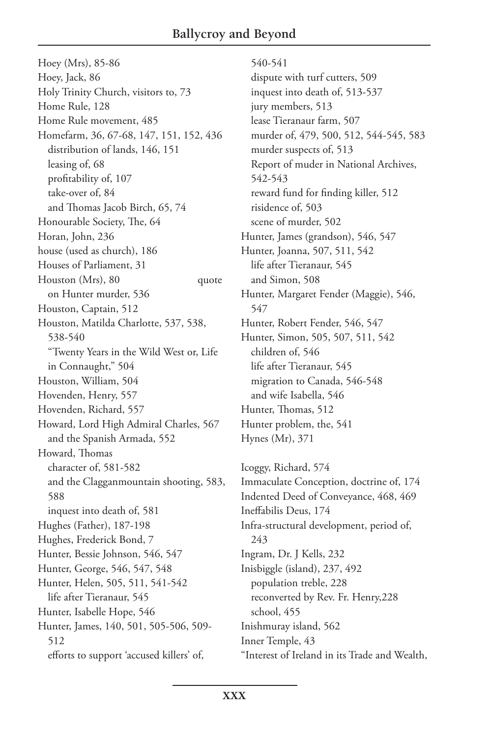Hoey (Mrs), 85-86 Hoey, Jack, 86 Holy Trinity Church, visitors to, 73 Home Rule, 128 Home Rule movement, 485 Homefarm, 36, 67-68, 147, 151, 152, 436 distribution of lands, 146, 151 leasing of, 68 profitability of, 107 take-over of, 84 and Thomas Jacob Birch, 65, 74 Honourable Society, The, 64 Horan, John, 236 house (used as church), 186 Houses of Parliament, 31 Houston (Mrs), 80 quote on Hunter murder, 536 Houston, Captain, 512 Houston, Matilda Charlotte, 537, 538, 538-540 "Twenty Years in the Wild West or, Life in Connaught," 504 Houston, William, 504 Hovenden, Henry, 557 Hovenden, Richard, 557 Howard, Lord High Admiral Charles, 567 and the Spanish Armada, 552 Howard, Thomas character of, 581-582 and the Clagganmountain shooting, 583, 588 inquest into death of, 581 Hughes (Father), 187-198 Hughes, Frederick Bond, 7 Hunter, Bessie Johnson, 546, 547 Hunter, George, 546, 547, 548 Hunter, Helen, 505, 511, 541-542 life after Tieranaur, 545 Hunter, Isabelle Hope, 546 Hunter, James, 140, 501, 505-506, 509- 512 efforts to support 'accused killers' of,

540-541 dispute with turf cutters, 509 inquest into death of, 513-537 jury members, 513 lease Tieranaur farm, 507 murder of, 479, 500, 512, 544-545, 583 murder suspects of, 513 Report of muder in National Archives, 542-543 reward fund for finding killer, 512 risidence of, 503 scene of murder, 502 Hunter, James (grandson), 546, 547 Hunter, Joanna, 507, 511, 542 life after Tieranaur, 545 and Simon, 508 Hunter, Margaret Fender (Maggie), 546, 547 Hunter, Robert Fender, 546, 547 Hunter, Simon, 505, 507, 511, 542 children of, 546 life after Tieranaur, 545 migration to Canada, 546-548 and wife Isabella, 546 Hunter, Thomas, 512 Hunter problem, the, 541 Hynes (Mr), 371

Icoggy, Richard, 574 Immaculate Conception, doctrine of, 174 Indented Deed of Conveyance, 468, 469 Ineffabilis Deus, 174 Infra-structural development, period of, 243 Ingram, Dr. J Kells, 232 Inisbiggle (island), 237, 492 population treble, 228 reconverted by Rev. Fr. Henry,228 school, 455 Inishmuray island, 562 Inner Temple, 43 "Interest of Ireland in its Trade and Wealth,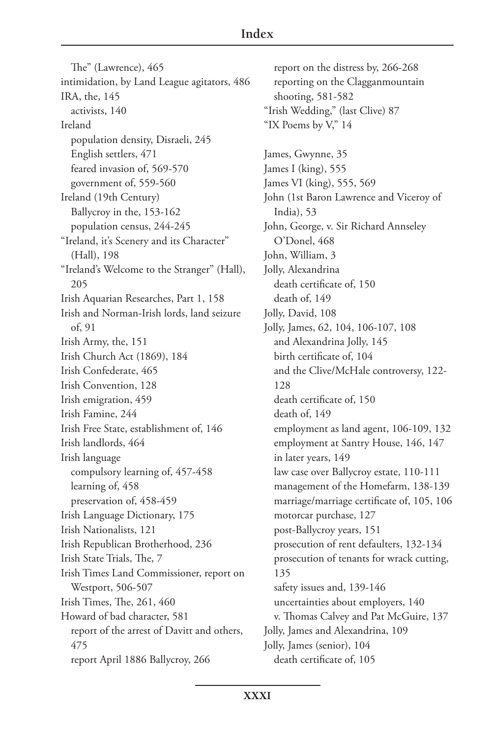The" (Lawrence), 465 intimidation, by Land League agitators, 486 IRA, the, 145 activists, 140 Ireland population density, Disraeli, 245 English settlers, 471 feared invasion of, 569-570 government of, 559-560 Ireland (19th Century) Ballycroy in the, 153-162 population census, 244-245 "Ireland, it's Scenery and its Character" (Hall), 198 "Ireland's Welcome to the Stranger" (Hall), 205 Irish Aquarian Researches, Part 1, 158 Irish and Norman-Irish lords, land seizure of, 91 Irish Army, the, 151 Irish Church Act (1869), 184 Irish Confederate, 465 Irish Convention, 128 Irish emigration, 459 Irish Famine, 244 Irish Free State, establishment of, 146 Irish landlords, 464 Irish language compulsory learning of, 457-458 learning of, 458 preservation of, 458-459 Irish Language Dictionary, 175 Irish Nationalists, 121 Irish Republican Brotherhood, 236 Irish State Trials, The, 7 Irish Times Land Commissioner, report on Westport, 506-507 Irish Times, The, 261, 460 Howard of bad character, 581 report of the arrest of Davitt and others, 475 report April 1886 Ballycroy, 266

report on the distress by, 266-268 reporting on the Clagganmountain shooting, 581-582 "Irish Wedding," (last Clive) 87 "IX Poems by V," 14 James, Gwynne, 35 James I (king), 555 James VI (king), 555, 569 John (1st Baron Lawrence and Viceroy of India), 53 John, George, v. Sir Richard Annseley O'Donel, 468 John, William, 3 Jolly, Alexandrina death certificate of, 150 death of, 149 Jolly, David, 108 Jolly, James, 62, 104, 106-107, 108 and Alexandrina Jolly, 145 birth certificate of, 104 and the Clive/McHale controversy, 122- 128 death certificate of, 150 death of, 149 employment as land agent, 106-109, 132 employment at Santry House, 146, 147 in later years, 149 law case over Ballycroy estate, 110-111 management of the Homefarm, 138-139 marriage/marriage certificate of, 105, 106 motorcar purchase, 127 post-Ballycroy years, 151 prosecution of rent defaulters, 132-134 prosecution of tenants for wrack cutting, 135 safety issues and, 139-146 uncertainties about employers, 140 v. Thomas Calvey and Pat McGuire, 137 Jolly, James and Alexandrina, 109 Jolly, James (senior), 104 death certificate of, 105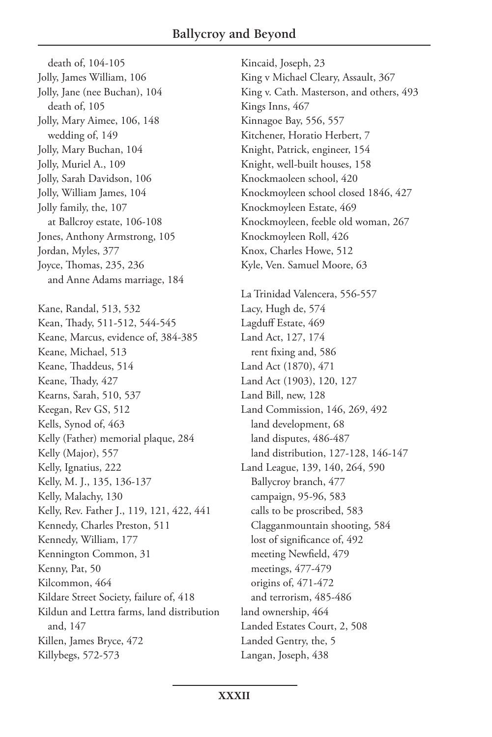death of, 104-105 Jolly, James William, 106 Jolly, Jane (nee Buchan), 104 death of, 105 Jolly, Mary Aimee, 106, 148 wedding of, 149 Jolly, Mary Buchan, 104 Jolly, Muriel A., 109 Jolly, Sarah Davidson, 106 Jolly, William James, 104 Jolly family, the, 107 at Ballcroy estate, 106-108 Jones, Anthony Armstrong, 105 Jordan, Myles, 377 Joyce, Thomas, 235, 236 and Anne Adams marriage, 184 Kane, Randal, 513, 532 Kean, Thady, 511-512, 544-545 Keane, Marcus, evidence of, 384-385 Keane, Michael, 513 Keane, Thaddeus, 514 Keane, Thady, 427 Kearns, Sarah, 510, 537 Keegan, Rev GS, 512 Kells, Synod of, 463 Kelly (Father) memorial plaque, 284 Kelly (Major), 557 Kelly, Ignatius, 222 Kelly, M. J., 135, 136-137 Kelly, Malachy, 130 Kelly, Rev. Father J., 119, 121, 422, 441 Kennedy, Charles Preston, 511 Kennedy, William, 177 Kennington Common, 31 Kenny, Pat, 50 Kilcommon, 464 Kildare Street Society, failure of, 418 Kildun and Lettra farms, land distribution and, 147 Killen, James Bryce, 472 Killybegs, 572-573

Kincaid, Joseph, 23 King v Michael Cleary, Assault, 367 King v. Cath. Masterson, and others, 493 Kings Inns, 467 Kinnagoe Bay, 556, 557 Kitchener, Horatio Herbert, 7 Knight, Patrick, engineer, 154 Knight, well-built houses, 158 Knockmaoleen school, 420 Knockmoyleen school closed 1846, 427 Knockmoyleen Estate, 469 Knockmoyleen, feeble old woman, 267 Knockmoyleen Roll, 426 Knox, Charles Howe, 512 Kyle, Ven. Samuel Moore, 63 La Trinidad Valencera, 556-557 Lacy, Hugh de, 574 Lagduff Estate, 469 Land Act, 127, 174 rent fixing and, 586 Land Act (1870), 471 Land Act (1903), 120, 127 Land Bill, new, 128 Land Commission, 146, 269, 492 land development, 68 land disputes, 486-487 land distribution, 127-128, 146-147 Land League, 139, 140, 264, 590 Ballycroy branch, 477 campaign, 95-96, 583 calls to be proscribed, 583 Clagganmountain shooting, 584 lost of significance of, 492 meeting Newfield, 479 meetings, 477-479 origins of, 471-472 and terrorism, 485-486 land ownership, 464 Landed Estates Court, 2, 508 Landed Gentry, the, 5 Langan, Joseph, 438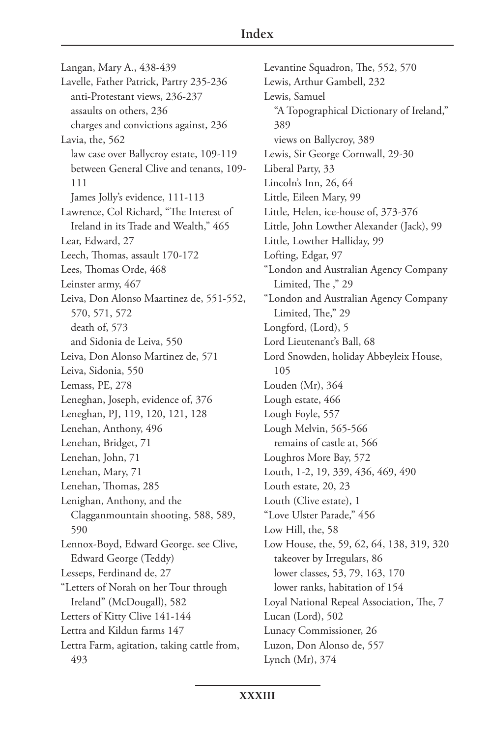## **Index**

Langan, Mary A., 438-439 Lavelle, Father Patrick, Partry 235-236 anti-Protestant views, 236-237 assaults on others, 236 charges and convictions against, 236 Lavia, the, 562 law case over Ballycroy estate, 109-119 between General Clive and tenants, 109- 111 James Jolly's evidence, 111-113 Lawrence, Col Richard, "The Interest of Ireland in its Trade and Wealth," 465 Lear, Edward, 27 Leech, Thomas, assault 170-172 Lees, Thomas Orde, 468 Leinster army, 467 Leiva, Don Alonso Maartinez de, 551-552, 570, 571, 572 death of, 573 and Sidonia de Leiva, 550 Leiva, Don Alonso Martinez de, 571 Leiva, Sidonia, 550 Lemass, PE, 278 Leneghan, Joseph, evidence of, 376 Leneghan, PJ, 119, 120, 121, 128 Lenehan, Anthony, 496 Lenehan, Bridget, 71 Lenehan, John, 71 Lenehan, Mary, 71 Lenehan, Thomas, 285 Lenighan, Anthony, and the Clagganmountain shooting, 588, 589, 590 Lennox-Boyd, Edward George. see Clive, Edward George (Teddy) Lesseps, Ferdinand de, 27 "Letters of Norah on her Tour through Ireland" (McDougall), 582 Letters of Kitty Clive 141-144 Lettra and Kildun farms 147 Lettra Farm, agitation, taking cattle from, 493

Levantine Squadron, The, 552, 570 Lewis, Arthur Gambell, 232 Lewis, Samuel "A Topographical Dictionary of Ireland," 389 views on Ballycroy, 389 Lewis, Sir George Cornwall, 29-30 Liberal Party, 33 Lincoln's Inn, 26, 64 Little, Eileen Mary, 99 Little, Helen, ice-house of, 373-376 Little, John Lowther Alexander (Jack), 99 Little, Lowther Halliday, 99 Lofting, Edgar, 97 "London and Australian Agency Company Limited, The ," 29 "London and Australian Agency Company Limited, The," 29 Longford, (Lord), 5 Lord Lieutenant's Ball, 68 Lord Snowden, holiday Abbeyleix House, 105 Louden (Mr), 364 Lough estate, 466 Lough Foyle, 557 Lough Melvin, 565-566 remains of castle at, 566 Loughros More Bay, 572 Louth, 1-2, 19, 339, 436, 469, 490 Louth estate, 20, 23 Louth (Clive estate), 1 "Love Ulster Parade," 456 Low Hill, the, 58 Low House, the, 59, 62, 64, 138, 319, 320 takeover by Irregulars, 86 lower classes, 53, 79, 163, 170 lower ranks, habitation of 154 Loyal National Repeal Association, The, 7 Lucan (Lord), 502 Lunacy Commissioner, 26 Luzon, Don Alonso de, 557 Lynch (Mr), 374

**XXXIII**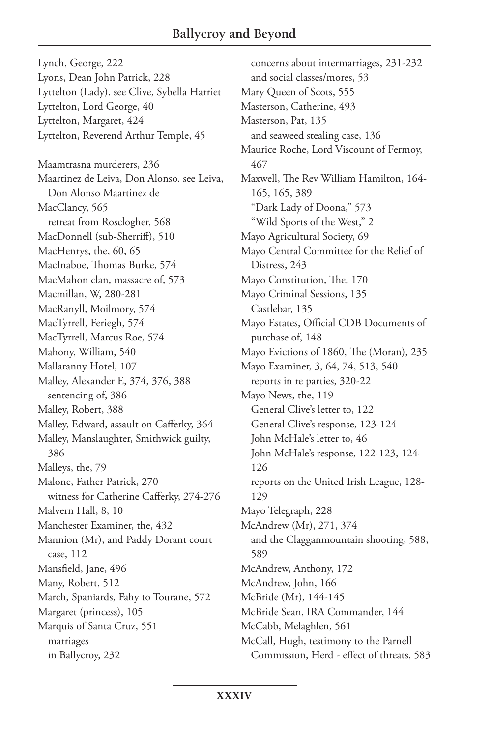Lynch, George, 222 Lyons, Dean John Patrick, 228 Lyttelton (Lady). see Clive, Sybella Harriet Lyttelton, Lord George, 40 Lyttelton, Margaret, 424 Lyttelton, Reverend Arthur Temple, 45 Maamtrasna murderers, 236 Maartinez de Leiva, Don Alonso. see Leiva, Don Alonso Maartinez de MacClancy, 565 retreat from Rosclogher, 568 MacDonnell (sub-Sherriff), 510 MacHenrys, the, 60, 65 MacInaboe, Thomas Burke, 574 MacMahon clan, massacre of, 573 Macmillan, W, 280-281 MacRanyll, Moilmory, 574 MacTyrrell, Feriegh, 574 MacTyrrell, Marcus Roe, 574 Mahony, William, 540 Mallaranny Hotel, 107 Malley, Alexander E, 374, 376, 388 sentencing of, 386 Malley, Robert, 388 Malley, Edward, assault on Cafferky, 364 Malley, Manslaughter, Smithwick guilty, 386 Malleys, the, 79 Malone, Father Patrick, 270 witness for Catherine Cafferky, 274-276 Malvern Hall, 8, 10 Manchester Examiner, the, 432 Mannion (Mr), and Paddy Dorant court case, 112 Mansfield, Jane, 496 Many, Robert, 512 March, Spaniards, Fahy to Tourane, 572 Margaret (princess), 105 Marquis of Santa Cruz, 551 marriages in Ballycroy, 232

concerns about intermarriages, 231-232 and social classes/mores, 53 Mary Queen of Scots, 555 Masterson, Catherine, 493 Masterson, Pat, 135 and seaweed stealing case, 136 Maurice Roche, Lord Viscount of Fermoy, 467 Maxwell, The Rev William Hamilton, 164- 165, 165, 389 "Dark Lady of Doona," 573 "Wild Sports of the West," 2 Mayo Agricultural Society, 69 Mayo Central Committee for the Relief of Distress, 243 Mayo Constitution, The, 170 Mayo Criminal Sessions, 135 Castlebar, 135 Mayo Estates, Official CDB Documents of purchase of, 148 Mayo Evictions of 1860, The (Moran), 235 Mayo Examiner, 3, 64, 74, 513, 540 reports in re parties, 320-22 Mayo News, the, 119 General Clive's letter to, 122 General Clive's response, 123-124 John McHale's letter to, 46 John McHale's response, 122-123, 124- 126 reports on the United Irish League, 128- 129 Mayo Telegraph, 228 McAndrew (Mr), 271, 374 and the Clagganmountain shooting, 588, 589 McAndrew, Anthony, 172 McAndrew, John, 166 McBride (Mr), 144-145 McBride Sean, IRA Commander, 144 McCabb, Melaghlen, 561 McCall, Hugh, testimony to the Parnell Commission, Herd - effect of threats, 583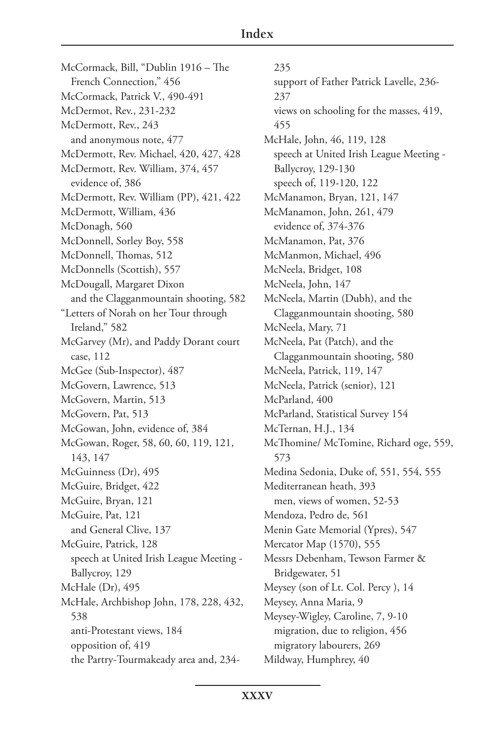McCormack, Bill, "Dublin 1916 – The French Connection," 456 McCormack, Patrick V., 490-491 McDermot, Rev., 231-232 McDermott, Rev., 243 and anonymous note, 477 McDermott, Rev. Michael, 420, 427, 428 McDermott, Rev. William, 374, 457 evidence of, 386 McDermott, Rev. William (PP), 421, 422 McDermott, William, 436 McDonagh, 560 McDonnell, Sorley Boy, 558 McDonnell, Thomas, 512 McDonnells (Scottish), 557 McDougall, Margaret Dixon and the Clagganmountain shooting, 582 "Letters of Norah on her Tour through Ireland," 582 McGarvey (Mr), and Paddy Dorant court case, 112 McGee (Sub-Inspector), 487 McGovern, Lawrence, 513 McGovern, Martin, 513 McGovern, Pat, 513 McGowan, John, evidence of, 384 McGowan, Roger, 58, 60, 60, 119, 121, 143, 147 McGuinness (Dr), 495 McGuire, Bridget, 422 McGuire, Bryan, 121 McGuire, Pat, 121 and General Clive, 137 McGuire, Patrick, 128 speech at United Irish League Meeting - Ballycroy, 129 McHale (Dr), 495 McHale, Archbishop John, 178, 228, 432, 538 anti-Protestant views, 184 opposition of, 419 the Partry-Tourmakeady area and, 234-

235 support of Father Patrick Lavelle, 236- 237 views on schooling for the masses, 419, 455 McHale, John, 46, 119, 128 speech at United Irish League Meeting - Ballycroy, 129-130 speech of, 119-120, 122 McManamon, Bryan, 121, 147 McManamon, John, 261, 479 evidence of, 374-376 McManamon, Pat, 376 McManmon, Michael, 496 McNeela, Bridget, 108 McNeela, John, 147 McNeela, Martin (Dubh), and the Clagganmountain shooting, 580 McNeela, Mary, 71 McNeela, Pat (Patch), and the Clagganmountain shooting, 580 McNeela, Patrick, 119, 147 McNeela, Patrick (senior), 121 McParland, 400 McParland, Statistical Survey 154 McTernan, H.J., 134 McThomine/ McTomine, Richard oge, 559, 573 Medina Sedonia, Duke of, 551, 554, 555 Mediterranean heath, 393 men, views of women, 52-53 Mendoza, Pedro de, 561 Menin Gate Memorial (Ypres), 547 Mercator Map (1570), 555 Messrs Debenham, Tewson Farmer & Bridgewater, 51 Meysey (son of Lt. Col. Percy ), 14 Meysey, Anna Maria, 9 Meysey-Wigley, Caroline, 7, 9-10 migration, due to religion, 456 migratory labourers, 269 Mildway, Humphrey, 40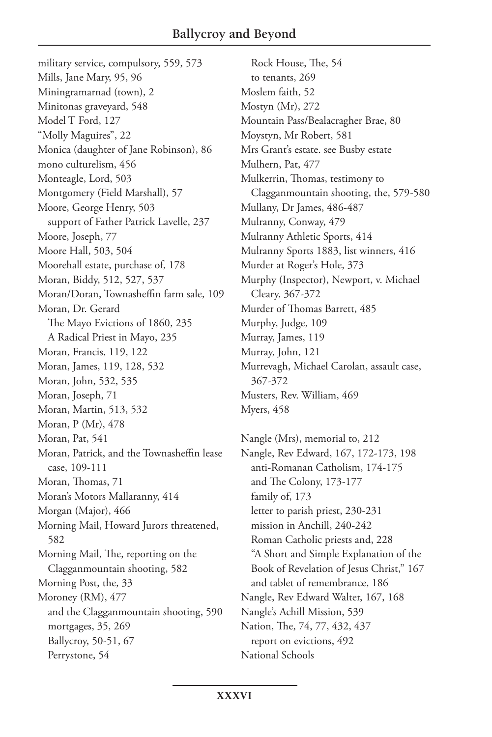military service, compulsory, 559, 573 Mills, Jane Mary, 95, 96 Miningramarnad (town), 2 Minitonas graveyard, 548 Model T Ford, 127 "Molly Maguires", 22 Monica (daughter of Jane Robinson), 86 mono culturelism, 456 Monteagle, Lord, 503 Montgomery (Field Marshall), 57 Moore, George Henry, 503 support of Father Patrick Lavelle, 237 Moore, Joseph, 77 Moore Hall, 503, 504 Moorehall estate, purchase of, 178 Moran, Biddy, 512, 527, 537 Moran/Doran, Townasheffin farm sale, 109 Moran, Dr. Gerard The Mayo Evictions of 1860, 235 A Radical Priest in Mayo, 235 Moran, Francis, 119, 122 Moran, James, 119, 128, 532 Moran, John, 532, 535 Moran, Joseph, 71 Moran, Martin, 513, 532 Moran, P (Mr), 478 Moran, Pat, 541 Moran, Patrick, and the Townasheffin lease case, 109-111 Moran, Thomas, 71 Moran's Motors Mallaranny, 414 Morgan (Major), 466 Morning Mail, Howard Jurors threatened, 582 Morning Mail, The, reporting on the Clagganmountain shooting, 582 Morning Post, the, 33 Moroney (RM), 477 and the Clagganmountain shooting, 590 mortgages, 35, 269 Ballycroy, 50-51, 67 Perrystone, 54

Rock House, The, 54 to tenants, 269 Moslem faith, 52 Mostyn (Mr), 272 Mountain Pass/Bealacragher Brae, 80 Moystyn, Mr Robert, 581 Mrs Grant's estate. see Busby estate Mulhern, Pat, 477 Mulkerrin, Thomas, testimony to Clagganmountain shooting, the, 579-580 Mullany, Dr James, 486-487 Mulranny, Conway, 479 Mulranny Athletic Sports, 414 Mulranny Sports 1883, list winners, 416 Murder at Roger's Hole, 373 Murphy (Inspector), Newport, v. Michael Cleary, 367-372 Murder of Thomas Barrett, 485 Murphy, Judge, 109 Murray, James, 119 Murray, John, 121 Murrevagh, Michael Carolan, assault case, 367-372 Musters, Rev. William, 469 Myers, 458

Nangle (Mrs), memorial to, 212 Nangle, Rev Edward, 167, 172-173, 198 anti-Romanan Catholism, 174-175 and The Colony, 173-177 family of, 173 letter to parish priest, 230-231 mission in Anchill, 240-242 Roman Catholic priests and, 228 "A Short and Simple Explanation of the Book of Revelation of Jesus Christ," 167 and tablet of remembrance, 186 Nangle, Rev Edward Walter, 167, 168 Nangle's Achill Mission, 539 Nation, The, 74, 77, 432, 437 report on evictions, 492 National Schools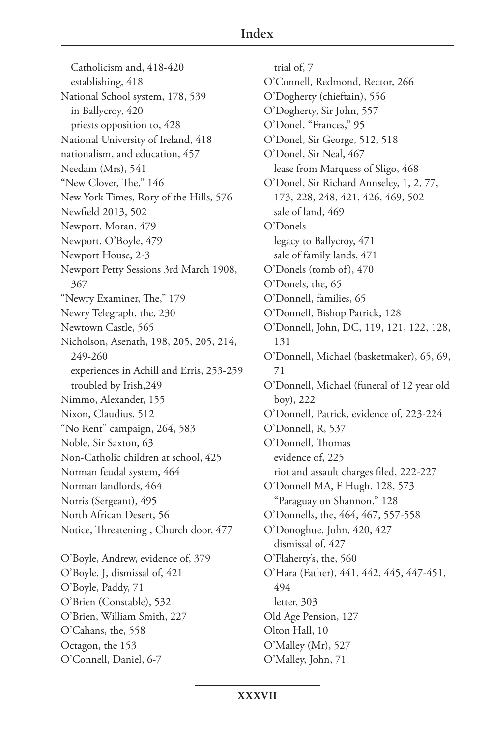Catholicism and, 418-420 establishing, 418 National School system, 178, 539 in Ballycroy, 420 priests opposition to, 428 National University of Ireland, 418 nationalism, and education, 457 Needam (Mrs), 541 "New Clover, The," 146 New York Times, Rory of the Hills, 576 Newfield 2013, 502 Newport, Moran, 479 Newport, O'Boyle, 479 Newport House, 2-3 Newport Petty Sessions 3rd March 1908, 367 "Newry Examiner, The," 179 Newry Telegraph, the, 230 Newtown Castle, 565 Nicholson, Asenath, 198, 205, 205, 214, 249-260 experiences in Achill and Erris, 253-259 troubled by Irish,249 Nimmo, Alexander, 155 Nixon, Claudius, 512 "No Rent" campaign, 264, 583 Noble, Sir Saxton, 63 Non-Catholic children at school, 425 Norman feudal system, 464 Norman landlords, 464 Norris (Sergeant), 495 North African Desert, 56 Notice, Threatening , Church door, 477 O'Boyle, Andrew, evidence of, 379 O'Boyle, J, dismissal of, 421 O'Boyle, Paddy, 71 O'Brien (Constable), 532 O'Brien, William Smith, 227 O'Cahans, the, 558 Octagon, the 153 O'Connell, Daniel, 6-7

trial of, 7 O'Connell, Redmond, Rector, 266 O'Dogherty (chieftain), 556 O'Dogherty, Sir John, 557 O'Donel, "Frances," 95 O'Donel, Sir George, 512, 518 O'Donel, Sir Neal, 467 lease from Marquess of Sligo, 468 O'Donel, Sir Richard Annseley, 1, 2, 77, 173, 228, 248, 421, 426, 469, 502 sale of land, 469 O'Donels legacy to Ballycroy, 471 sale of family lands, 471 O'Donels (tomb of), 470 O'Donels, the, 65 O'Donnell, families, 65 O'Donnell, Bishop Patrick, 128 O'Donnell, John, DC, 119, 121, 122, 128, 131 O'Donnell, Michael (basketmaker), 65, 69, 71 O'Donnell, Michael (funeral of 12 year old boy), 222 O'Donnell, Patrick, evidence of, 223-224 O'Donnell, R, 537 O'Donnell, Thomas evidence of, 225 riot and assault charges filed, 222-227 O'Donnell MA, F Hugh, 128, 573 "Paraguay on Shannon," 128 O'Donnells, the, 464, 467, 557-558 O'Donoghue, John, 420, 427 dismissal of, 427 O'Flaherty's, the, 560 O'Hara (Father), 441, 442, 445, 447-451, 494 letter, 303 Old Age Pension, 127 Olton Hall, 10 O'Malley (Mr), 527 O'Malley, John, 71

**XXXVII**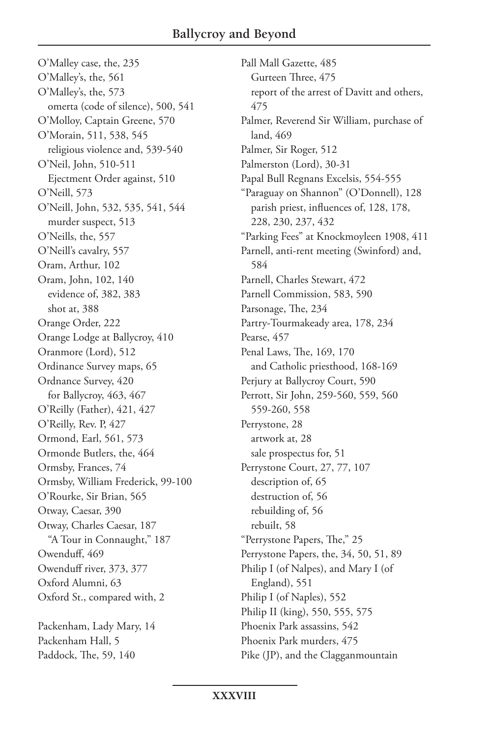O'Malley case, the, 235 O'Malley's, the, 561 O'Malley's, the, 573 omerta (code of silence), 500, 541 O'Molloy, Captain Greene, 570 O'Morain, 511, 538, 545 religious violence and, 539-540 O'Neil, John, 510-511 Ejectment Order against, 510 O'Neill, 573 O'Neill, John, 532, 535, 541, 544 murder suspect, 513 O'Neills, the, 557 O'Neill's cavalry, 557 Oram, Arthur, 102 Oram, John, 102, 140 evidence of, 382, 383 shot at, 388 Orange Order, 222 Orange Lodge at Ballycroy, 410 Oranmore (Lord), 512 Ordinance Survey maps, 65 Ordnance Survey, 420 for Ballycroy, 463, 467 O'Reilly (Father), 421, 427 O'Reilly, Rev. P, 427 Ormond, Earl, 561, 573 Ormonde Butlers, the, 464 Ormsby, Frances, 74 Ormsby, William Frederick, 99-100 O'Rourke, Sir Brian, 565 Otway, Caesar, 390 Otway, Charles Caesar, 187 "A Tour in Connaught," 187 Owenduff, 469 Owenduff river, 373, 377 Oxford Alumni, 63 Oxford St., compared with, 2 Packenham, Lady Mary, 14 Packenham Hall, 5

Paddock, The, 59, 140

Pall Mall Gazette, 485 Gurteen Three, 475 report of the arrest of Davitt and others, 475 Palmer, Reverend Sir William, purchase of land, 469 Palmer, Sir Roger, 512 Palmerston (Lord), 30-31 Papal Bull Regnans Excelsis, 554-555 "Paraguay on Shannon" (O'Donnell), 128 parish priest, influences of, 128, 178, 228, 230, 237, 432 "Parking Fees" at Knockmoyleen 1908, 411 Parnell, anti-rent meeting (Swinford) and, 584 Parnell, Charles Stewart, 472 Parnell Commission, 583, 590 Parsonage, The, 234 Partry-Tourmakeady area, 178, 234 Pearse, 457 Penal Laws, The, 169, 170 and Catholic priesthood, 168-169 Perjury at Ballycroy Court, 590 Perrott, Sir John, 259-560, 559, 560 559-260, 558 Perrystone, 28 artwork at, 28 sale prospectus for, 51 Perrystone Court, 27, 77, 107 description of, 65 destruction of, 56 rebuilding of, 56 rebuilt, 58 "Perrystone Papers, The," 25 Perrystone Papers, the, 34, 50, 51, 89 Philip I (of Nalpes), and Mary I (of England), 551 Philip I (of Naples), 552 Philip II (king), 550, 555, 575 Phoenix Park assassins, 542 Phoenix Park murders, 475 Pike (JP), and the Clagganmountain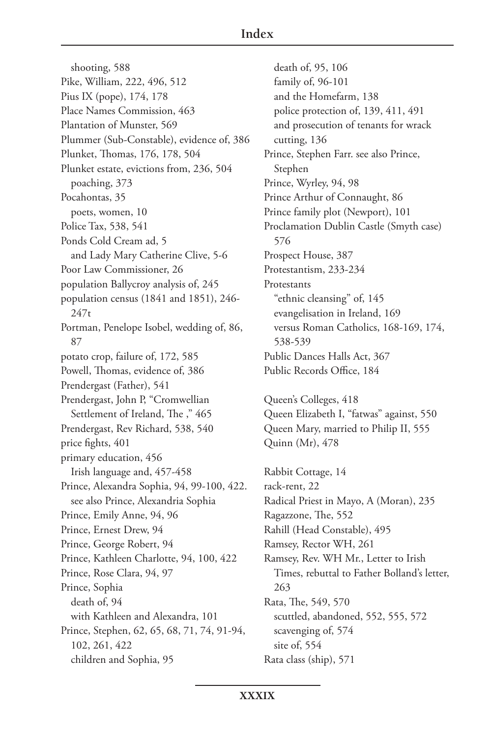shooting, 588 Pike, William, 222, 496, 512 Pius IX (pope), 174, 178 Place Names Commission, 463 Plantation of Munster, 569 Plummer (Sub-Constable), evidence of, 386 Plunket, Thomas, 176, 178, 504 Plunket estate, evictions from, 236, 504 poaching, 373 Pocahontas, 35 poets, women, 10 Police Tax, 538, 541 Ponds Cold Cream ad, 5 and Lady Mary Catherine Clive, 5-6 Poor Law Commissioner, 26 population Ballycroy analysis of, 245 population census (1841 and 1851), 246-  $247t$ Portman, Penelope Isobel, wedding of, 86, 87 potato crop, failure of, 172, 585 Powell, Thomas, evidence of, 386 Prendergast (Father), 541 Prendergast, John P, "Cromwellian Settlement of Ireland, The ," 465 Prendergast, Rev Richard, 538, 540 price fights, 401 primary education, 456 Irish language and, 457-458 Prince, Alexandra Sophia, 94, 99-100, 422. see also Prince, Alexandria Sophia Prince, Emily Anne, 94, 96 Prince, Ernest Drew, 94 Prince, George Robert, 94 Prince, Kathleen Charlotte, 94, 100, 422 Prince, Rose Clara, 94, 97 Prince, Sophia death of, 94 with Kathleen and Alexandra, 101 Prince, Stephen, 62, 65, 68, 71, 74, 91-94, 102, 261, 422 children and Sophia, 95

death of, 95, 106 family of, 96-101 and the Homefarm, 138 police protection of, 139, 411, 491 and prosecution of tenants for wrack cutting, 136 Prince, Stephen Farr. see also Prince, Stephen Prince, Wyrley, 94, 98 Prince Arthur of Connaught, 86 Prince family plot (Newport), 101 Proclamation Dublin Castle (Smyth case) 576 Prospect House, 387 Protestantism, 233-234 **Protestants** "ethnic cleansing" of, 145 evangelisation in Ireland, 169 versus Roman Catholics, 168-169, 174, 538-539 Public Dances Halls Act, 367 Public Records Office, 184

Queen's Colleges, 418 Queen Elizabeth I, "fatwas" against, 550 Queen Mary, married to Philip II, 555 Quinn (Mr), 478

Rabbit Cottage, 14 rack-rent, 22 Radical Priest in Mayo, A (Moran), 235 Ragazzone, The, 552 Rahill (Head Constable), 495 Ramsey, Rector WH, 261 Ramsey, Rev. WH Mr., Letter to Irish Times, rebuttal to Father Bolland's letter, 263 Rata, The, 549, 570 scuttled, abandoned, 552, 555, 572 scavenging of, 574 site of, 554 Rata class (ship), 571

**XXXIX**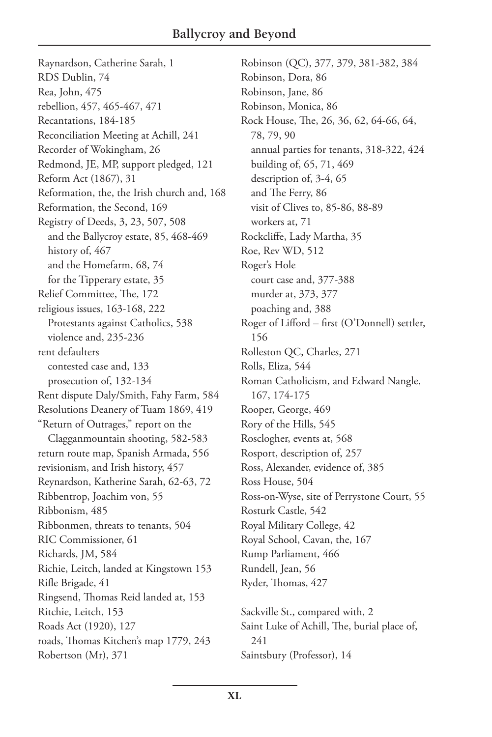Raynardson, Catherine Sarah, 1 RDS Dublin, 74 Rea, John, 475 rebellion, 457, 465-467, 471 Recantations, 184-185 Reconciliation Meeting at Achill, 241 Recorder of Wokingham, 26 Redmond, JE, MP, support pledged, 121 Reform Act (1867), 31 Reformation, the, the Irish church and, 168 Reformation, the Second, 169 Registry of Deeds, 3, 23, 507, 508 and the Ballycroy estate, 85, 468-469 history of, 467 and the Homefarm, 68, 74 for the Tipperary estate, 35 Relief Committee, The, 172 religious issues, 163-168, 222 Protestants against Catholics, 538 violence and, 235-236 rent defaulters contested case and, 133 prosecution of, 132-134 Rent dispute Daly/Smith, Fahy Farm, 584 Resolutions Deanery of Tuam 1869, 419 "Return of Outrages," report on the Clagganmountain shooting, 582-583 return route map, Spanish Armada, 556 revisionism, and Irish history, 457 Reynardson, Katherine Sarah, 62-63, 72 Ribbentrop, Joachim von, 55 Ribbonism, 485 Ribbonmen, threats to tenants, 504 RIC Commissioner, 61 Richards, JM, 584 Richie, Leitch, landed at Kingstown 153 Rifle Brigade, 41 Ringsend, Thomas Reid landed at, 153 Ritchie, Leitch, 153 Roads Act (1920), 127 roads, Thomas Kitchen's map 1779, 243 Robertson (Mr), 371

Robinson (QC), 377, 379, 381-382, 384 Robinson, Dora, 86 Robinson, Jane, 86 Robinson, Monica, 86 Rock House, The, 26, 36, 62, 64-66, 64, 78, 79, 90 annual parties for tenants, 318-322, 424 building of, 65, 71, 469 description of, 3-4, 65 and The Ferry, 86 visit of Clives to, 85-86, 88-89 workers at, 71 Rockcliffe, Lady Martha, 35 Roe, Rev WD, 512 Roger's Hole court case and, 377-388 murder at, 373, 377 poaching and, 388 Roger of Lifford – first (O'Donnell) settler, 156 Rolleston QC, Charles, 271 Rolls, Eliza, 544 Roman Catholicism, and Edward Nangle, 167, 174-175 Rooper, George, 469 Rory of the Hills, 545 Rosclogher, events at, 568 Rosport, description of, 257 Ross, Alexander, evidence of, 385 Ross House, 504 Ross-on-Wyse, site of Perrystone Court, 55 Rosturk Castle, 542 Royal Military College, 42 Royal School, Cavan, the, 167 Rump Parliament, 466 Rundell, Jean, 56 Ryder, Thomas, 427

Sackville St., compared with, 2 Saint Luke of Achill, The, burial place of, 241 Saintsbury (Professor), 14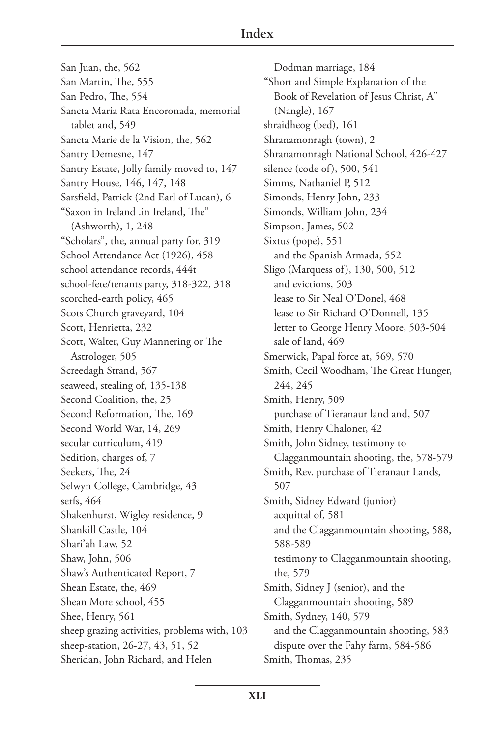San Juan, the, 562 San Martin, The, 555 San Pedro, The, 554 Sancta Maria Rata Encoronada, memorial tablet and, 549 Sancta Marie de la Vision, the, 562 Santry Demesne, 147 Santry Estate, Jolly family moved to, 147 Santry House, 146, 147, 148 Sarsfield, Patrick (2nd Earl of Lucan), 6 "Saxon in Ireland .in Ireland, The" (Ashworth), 1, 248 "Scholars", the, annual party for, 319 School Attendance Act (1926), 458 school attendance records, 444t school-fete/tenants party, 318-322, 318 scorched-earth policy, 465 Scots Church graveyard, 104 Scott, Henrietta, 232 Scott, Walter, Guy Mannering or The Astrologer, 505 Screedagh Strand, 567 seaweed, stealing of, 135-138 Second Coalition, the, 25 Second Reformation, The, 169 Second World War, 14, 269 secular curriculum, 419 Sedition, charges of, 7 Seekers, The, 24 Selwyn College, Cambridge, 43 serfs, 464 Shakenhurst, Wigley residence, 9 Shankill Castle, 104 Shari'ah Law, 52 Shaw, John, 506 Shaw's Authenticated Report, 7 Shean Estate, the, 469 Shean More school, 455 Shee, Henry, 561 sheep grazing activities, problems with, 103 sheep-station, 26-27, 43, 51, 52 Sheridan, John Richard, and Helen

Dodman marriage, 184 "Short and Simple Explanation of the Book of Revelation of Jesus Christ, A" (Nangle), 167 shraidheog (bed), 161 Shranamonragh (town), 2 Shranamonragh National School, 426-427 silence (code of), 500, 541 Simms, Nathaniel P, 512 Simonds, Henry John, 233 Simonds, William John, 234 Simpson, James, 502 Sixtus (pope), 551 and the Spanish Armada, 552 Sligo (Marquess of), 130, 500, 512 and evictions, 503 lease to Sir Neal O'Donel, 468 lease to Sir Richard O'Donnell, 135 letter to George Henry Moore, 503-504 sale of land, 469 Smerwick, Papal force at, 569, 570 Smith, Cecil Woodham, The Great Hunger, 244, 245 Smith, Henry, 509 purchase of Tieranaur land and, 507 Smith, Henry Chaloner, 42 Smith, John Sidney, testimony to Clagganmountain shooting, the, 578-579 Smith, Rev. purchase of Tieranaur Lands, 507 Smith, Sidney Edward (junior) acquittal of, 581 and the Clagganmountain shooting, 588, 588-589 testimony to Clagganmountain shooting, the, 579 Smith, Sidney J (senior), and the Clagganmountain shooting, 589 Smith, Sydney, 140, 579 and the Clagganmountain shooting, 583 dispute over the Fahy farm, 584-586 Smith, Thomas, 235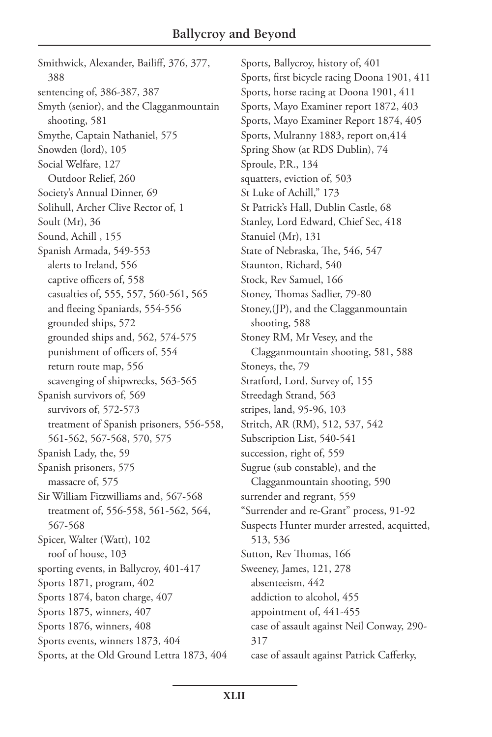Smithwick, Alexander, Bailiff, 376, 377, 388 sentencing of, 386-387, 387 Smyth (senior), and the Clagganmountain shooting, 581 Smythe, Captain Nathaniel, 575 Snowden (lord), 105 Social Welfare, 127 Outdoor Relief, 260 Society's Annual Dinner, 69 Solihull, Archer Clive Rector of, 1 Soult (Mr), 36 Sound, Achill , 155 Spanish Armada, 549-553 alerts to Ireland, 556 captive officers of, 558 casualties of, 555, 557, 560-561, 565 and fleeing Spaniards, 554-556 grounded ships, 572 grounded ships and, 562, 574-575 punishment of officers of, 554 return route map, 556 scavenging of shipwrecks, 563-565 Spanish survivors of, 569 survivors of, 572-573 treatment of Spanish prisoners, 556-558, 561-562, 567-568, 570, 575 Spanish Lady, the, 59 Spanish prisoners, 575 massacre of, 575 Sir William Fitzwilliams and, 567-568 treatment of, 556-558, 561-562, 564, 567-568 Spicer, Walter (Watt), 102 roof of house, 103 sporting events, in Ballycroy, 401-417 Sports 1871, program, 402 Sports 1874, baton charge, 407 Sports 1875, winners, 407 Sports 1876, winners, 408 Sports events, winners 1873, 404 Sports, at the Old Ground Lettra 1873, 404 Sports, Ballycroy, history of, 401 Sports, first bicycle racing Doona 1901, 411 Sports, horse racing at Doona 1901, 411 Sports, Mayo Examiner report 1872, 403 Sports, Mayo Examiner Report 1874, 405 Sports, Mulranny 1883, report on,414 Spring Show (at RDS Dublin), 74 Sproule, P.R., 134 squatters, eviction of, 503 St Luke of Achill," 173 St Patrick's Hall, Dublin Castle, 68 Stanley, Lord Edward, Chief Sec, 418 Stanuiel (Mr), 131 State of Nebraska, The, 546, 547 Staunton, Richard, 540 Stock, Rev Samuel, 166 Stoney, Thomas Sadlier, 79-80 Stoney,(JP), and the Clagganmountain shooting, 588 Stoney RM, Mr Vesey, and the Clagganmountain shooting, 581, 588 Stoneys, the, 79 Stratford, Lord, Survey of, 155 Streedagh Strand, 563 stripes, land, 95-96, 103 Stritch, AR (RM), 512, 537, 542 Subscription List, 540-541 succession, right of, 559 Sugrue (sub constable), and the Clagganmountain shooting, 590 surrender and regrant, 559 "Surrender and re-Grant" process, 91-92 Suspects Hunter murder arrested, acquitted, 513, 536 Sutton, Rev Thomas, 166 Sweeney, James, 121, 278 absenteeism, 442 addiction to alcohol, 455 appointment of, 441-455 case of assault against Neil Conway, 290- 317 case of assault against Patrick Cafferky,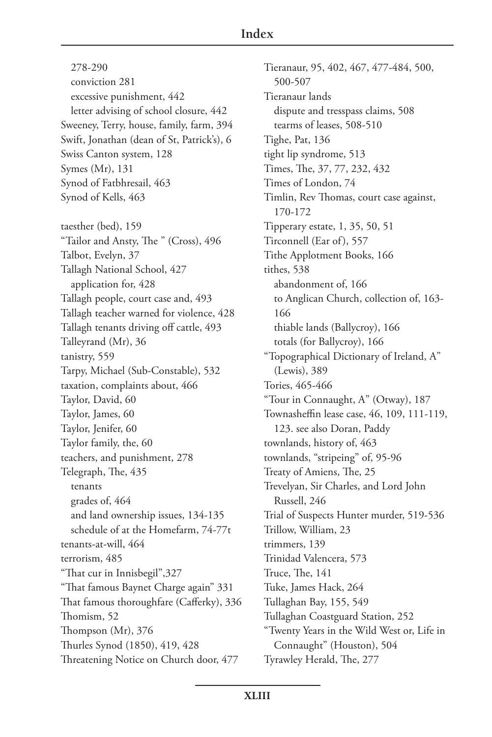278-290 conviction 281 excessive punishment, 442 letter advising of school closure, 442 Sweeney, Terry, house, family, farm, 394 Swift, Jonathan (dean of St, Patrick's), 6 Swiss Canton system, 128 Symes (Mr), 131 Synod of Fatbhresail, 463 Synod of Kells, 463 taesther (bed), 159 "Tailor and Ansty, The " (Cross), 496 Talbot, Evelyn, 37 Tallagh National School, 427 application for, 428 Tallagh people, court case and, 493 Tallagh teacher warned for violence, 428 Tallagh tenants driving off cattle, 493 Talleyrand (Mr), 36 tanistry, 559 Tarpy, Michael (Sub-Constable), 532 taxation, complaints about, 466 Taylor, David, 60 Taylor, James, 60 Taylor, Jenifer, 60 Taylor family, the, 60 teachers, and punishment, 278 Telegraph, The, 435 tenants grades of, 464 and land ownership issues, 134-135 schedule of at the Homefarm, 74-77t tenants-at-will, 464 terrorism, 485 "That cur in Innisbegil",327 "That famous Baynet Charge again" 331 That famous thoroughfare (Cafferky), 336 Thomism, 52 Thompson (Mr), 376 Thurles Synod (1850), 419, 428 Threatening Notice on Church door, 477

Tieranaur, 95, 402, 467, 477-484, 500, 500-507 Tieranaur lands dispute and tresspass claims, 508 tearms of leases, 508-510 Tighe, Pat, 136 tight lip syndrome, 513 Times, The, 37, 77, 232, 432 Times of London, 74 Timlin, Rev Thomas, court case against, 170-172 Tipperary estate, 1, 35, 50, 51 Tirconnell (Ear of), 557 Tithe Applotment Books, 166 tithes, 538 abandonment of, 166 to Anglican Church, collection of, 163- 166 thiable lands (Ballycroy), 166 totals (for Ballycroy), 166 "Topographical Dictionary of Ireland, A" (Lewis), 389 Tories, 465-466 "Tour in Connaught, A" (Otway), 187 Townasheffin lease case, 46, 109, 111-119, 123. see also Doran, Paddy townlands, history of, 463 townlands, "stripeing" of, 95-96 Treaty of Amiens, The, 25 Trevelyan, Sir Charles, and Lord John Russell, 246 Trial of Suspects Hunter murder, 519-536 Trillow, William, 23 trimmers, 139 Trinidad Valencera, 573 Truce, The, 141 Tuke, James Hack, 264 Tullaghan Bay, 155, 549 Tullaghan Coastguard Station, 252 "Twenty Years in the Wild West or, Life in Connaught" (Houston), 504 Tyrawley Herald, The, 277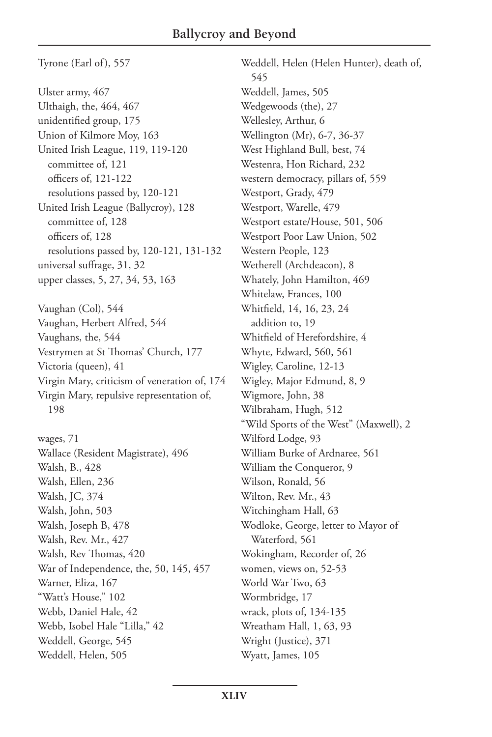Tyrone (Earl of), 557

Ulster army, 467 Ulthaigh, the, 464, 467 unidentified group, 175 Union of Kilmore Moy, 163 United Irish League, 119, 119-120 committee of, 121 officers of, 121-122 resolutions passed by, 120-121 United Irish League (Ballycroy), 128 committee of, 128 officers of, 128 resolutions passed by, 120-121, 131-132 universal suffrage, 31, 32 upper classes, 5, 27, 34, 53, 163

Vaughan (Col), 544 Vaughan, Herbert Alfred, 544 Vaughans, the, 544 Vestrymen at St Thomas' Church, 177 Victoria (queen), 41 Virgin Mary, criticism of veneration of, 174 Virgin Mary, repulsive representation of, 198

wages, 71 Wallace (Resident Magistrate), 496 Walsh, B., 428 Walsh, Ellen, 236 Walsh, JC, 374 Walsh, John, 503 Walsh, Joseph B, 478 Walsh, Rev. Mr., 427 Walsh, Rev Thomas, 420 War of Independence, the, 50, 145, 457 Warner, Eliza, 167 "Watt's House," 102 Webb, Daniel Hale, 42 Webb, Isobel Hale "Lilla," 42 Weddell, George, 545 Weddell, Helen, 505

Weddell, Helen (Helen Hunter), death of, 545 Weddell, James, 505 Wedgewoods (the), 27 Wellesley, Arthur, 6 Wellington (Mr), 6-7, 36-37 West Highland Bull, best, 74 Westenra, Hon Richard, 232 western democracy, pillars of, 559 Westport, Grady, 479 Westport, Warelle, 479 Westport estate/House, 501, 506 Westport Poor Law Union, 502 Western People, 123 Wetherell (Archdeacon), 8 Whately, John Hamilton, 469 Whitelaw, Frances, 100 Whitfield, 14, 16, 23, 24 addition to, 19 Whitfield of Herefordshire, 4 Whyte, Edward, 560, 561 Wigley, Caroline, 12-13 Wigley, Major Edmund, 8, 9 Wigmore, John, 38 Wilbraham, Hugh, 512 "Wild Sports of the West" (Maxwell), 2 Wilford Lodge, 93 William Burke of Ardnaree, 561 William the Conqueror, 9 Wilson, Ronald, 56 Wilton, Rev. Mr., 43 Witchingham Hall, 63 Wodloke, George, letter to Mayor of Waterford, 561 Wokingham, Recorder of, 26 women, views on, 52-53 World War Two, 63 Wormbridge, 17 wrack, plots of, 134-135 Wreatham Hall, 1, 63, 93 Wright (Justice), 371 Wyatt, James, 105